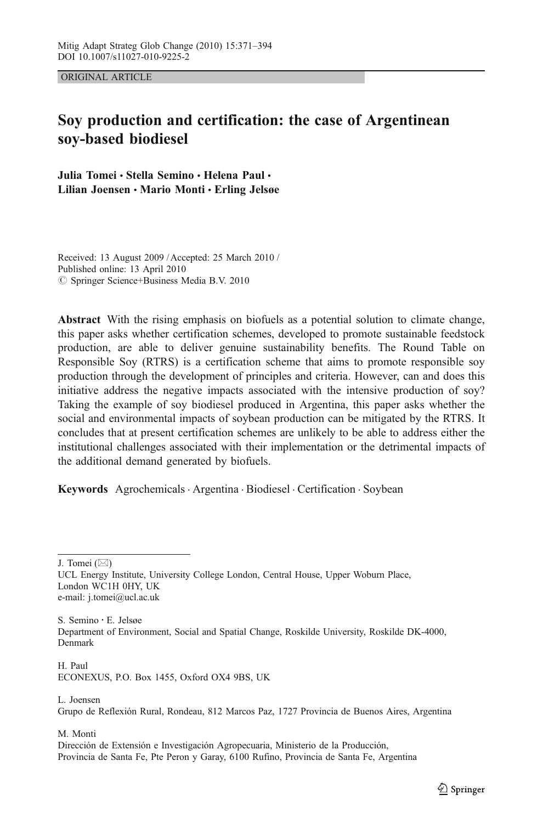ORIGINAL ARTICLE

# Soy production and certification: the case of Argentinean soy-based biodiesel

Julia Tomei & Stella Semino & Helena Paul & Lilian Joensen • Mario Monti • Erling Jelsøe

Received: 13 August 2009 / Accepted: 25 March 2010 / Published online: 13 April 2010  $\oslash$  Springer Science+Business Media B.V. 2010

Abstract With the rising emphasis on biofuels as a potential solution to climate change, this paper asks whether certification schemes, developed to promote sustainable feedstock production, are able to deliver genuine sustainability benefits. The Round Table on Responsible Soy (RTRS) is a certification scheme that aims to promote responsible soy production through the development of principles and criteria. However, can and does this initiative address the negative impacts associated with the intensive production of soy? Taking the example of soy biodiesel produced in Argentina, this paper asks whether the social and environmental impacts of soybean production can be mitigated by the RTRS. It concludes that at present certification schemes are unlikely to be able to address either the institutional challenges associated with their implementation or the detrimental impacts of the additional demand generated by biofuels.

Keywords Agrochemicals . Argentina . Biodiesel . Certification . Soybean

J. Tomei  $(\boxtimes)$ 

S. Semino *:* E. Jelsøe Department of Environment, Social and Spatial Change, Roskilde University, Roskilde DK-4000, Denmark

H. Paul ECONEXUS, P.O. Box 1455, Oxford OX4 9BS, UK

### L. Joensen

Grupo de Reflexión Rural, Rondeau, 812 Marcos Paz, 1727 Provincia de Buenos Aires, Argentina

M. Monti

Dirección de Extensión e Investigación Agropecuaria, Ministerio de la Producción, Provincia de Santa Fe, Pte Peron y Garay, 6100 Rufino, Provincia de Santa Fe, Argentina

UCL Energy Institute, University College London, Central House, Upper Woburn Place, London WC1H 0HY, UK e-mail: j.tomei@ucl.ac.uk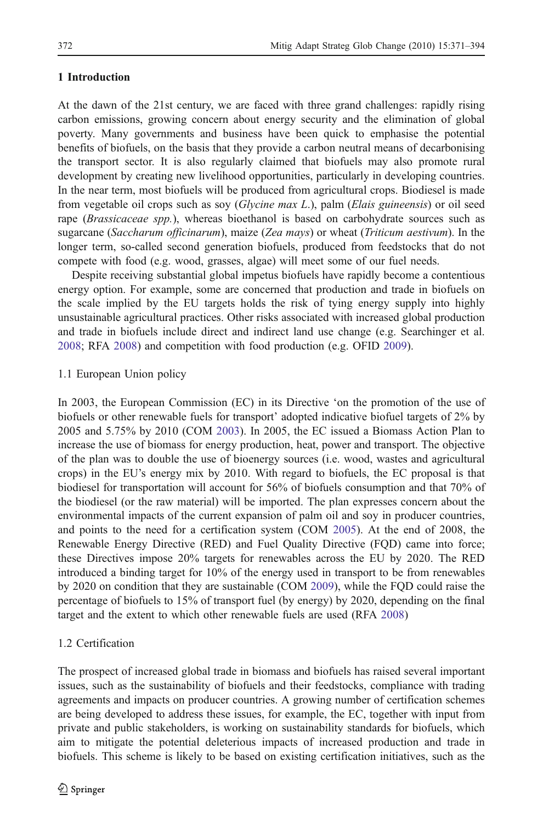# 1 Introduction

At the dawn of the 21st century, we are faced with three grand challenges: rapidly rising carbon emissions, growing concern about energy security and the elimination of global poverty. Many governments and business have been quick to emphasise the potential benefits of biofuels, on the basis that they provide a carbon neutral means of decarbonising the transport sector. It is also regularly claimed that biofuels may also promote rural development by creating new livelihood opportunities, particularly in developing countries. In the near term, most biofuels will be produced from agricultural crops. Biodiesel is made from vegetable oil crops such as soy (Glycine max L.), palm (Elais guineensis) or oil seed rape (Brassicaceae spp.), whereas bioethanol is based on carbohydrate sources such as sugarcane (Saccharum officinarum), maize (Zea mays) or wheat (Triticum aestivum). In the longer term, so-called second generation biofuels, produced from feedstocks that do not compete with food (e.g. wood, grasses, algae) will meet some of our fuel needs.

Despite receiving substantial global impetus biofuels have rapidly become a contentious energy option. For example, some are concerned that production and trade in biofuels on the scale implied by the EU targets holds the risk of tying energy supply into highly unsustainable agricultural practices. Other risks associated with increased global production and trade in biofuels include direct and indirect land use change (e.g. Searchinger et al. [2008;](#page-22-0) RFA [2008](#page-22-0)) and competition with food production (e.g. OFID [2009](#page-21-0)).

# 1.1 European Union policy

In 2003, the European Commission (EC) in its Directive 'on the promotion of the use of biofuels or other renewable fuels for transport' adopted indicative biofuel targets of 2% by 2005 and 5.75% by 2010 (COM [2003](#page-19-0)). In 2005, the EC issued a Biomass Action Plan to increase the use of biomass for energy production, heat, power and transport. The objective of the plan was to double the use of bioenergy sources (i.e. wood, wastes and agricultural crops) in the EU's energy mix by 2010. With regard to biofuels, the EC proposal is that biodiesel for transportation will account for 56% of biofuels consumption and that 70% of the biodiesel (or the raw material) will be imported. The plan expresses concern about the environmental impacts of the current expansion of palm oil and soy in producer countries, and points to the need for a certification system (COM [2005\)](#page-19-0). At the end of 2008, the Renewable Energy Directive (RED) and Fuel Quality Directive (FQD) came into force; these Directives impose 20% targets for renewables across the EU by 2020. The RED introduced a binding target for 10% of the energy used in transport to be from renewables by 2020 on condition that they are sustainable (COM [2009](#page-19-0)), while the FQD could raise the percentage of biofuels to 15% of transport fuel (by energy) by 2020, depending on the final target and the extent to which other renewable fuels are used (RFA [2008](#page-22-0))

# 1.2 Certification

The prospect of increased global trade in biomass and biofuels has raised several important issues, such as the sustainability of biofuels and their feedstocks, compliance with trading agreements and impacts on producer countries. A growing number of certification schemes are being developed to address these issues, for example, the EC, together with input from private and public stakeholders, is working on sustainability standards for biofuels, which aim to mitigate the potential deleterious impacts of increased production and trade in biofuels. This scheme is likely to be based on existing certification initiatives, such as the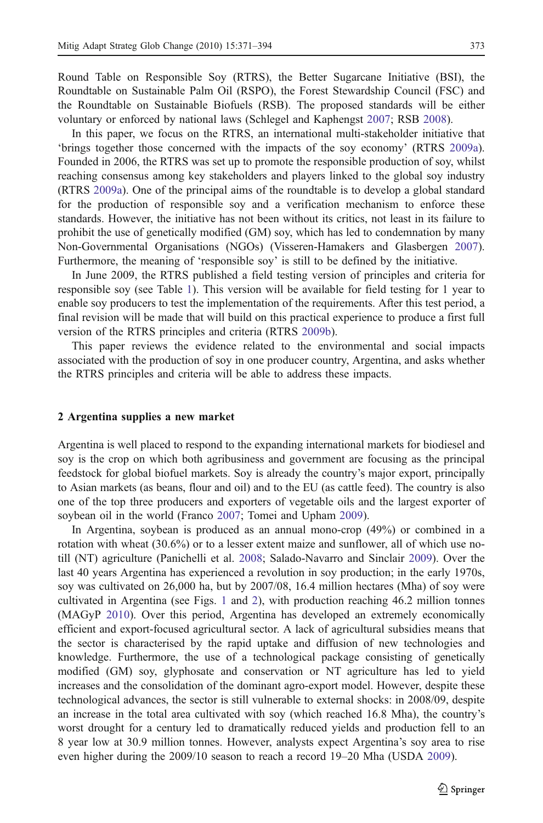Round Table on Responsible Soy (RTRS), the Better Sugarcane Initiative (BSI), the Roundtable on Sustainable Palm Oil (RSPO), the Forest Stewardship Council (FSC) and the Roundtable on Sustainable Biofuels (RSB). The proposed standards will be either voluntary or enforced by national laws (Schlegel and Kaphengst [2007](#page-22-0); RSB [2008\)](#page-22-0).

In this paper, we focus on the RTRS, an international multi-stakeholder initiative that 'brings together those concerned with the impacts of the soy economy' (RTRS [2009a](#page-22-0)). Founded in 2006, the RTRS was set up to promote the responsible production of soy, whilst reaching consensus among key stakeholders and players linked to the global soy industry (RTRS [2009a\)](#page-22-0). One of the principal aims of the roundtable is to develop a global standard for the production of responsible soy and a verification mechanism to enforce these standards. However, the initiative has not been without its critics, not least in its failure to prohibit the use of genetically modified (GM) soy, which has led to condemnation by many Non-Governmental Organisations (NGOs) (Visseren-Hamakers and Glasbergen [2007](#page-23-0)). Furthermore, the meaning of 'responsible soy' is still to be defined by the initiative.

In June 2009, the RTRS published a field testing version of principles and criteria for responsible soy (see Table [1\)](#page-3-0). This version will be available for field testing for 1 year to enable soy producers to test the implementation of the requirements. After this test period, a final revision will be made that will build on this practical experience to produce a first full version of the RTRS principles and criteria (RTRS [2009b](#page-22-0)).

This paper reviews the evidence related to the environmental and social impacts associated with the production of soy in one producer country, Argentina, and asks whether the RTRS principles and criteria will be able to address these impacts.

# 2 Argentina supplies a new market

Argentina is well placed to respond to the expanding international markets for biodiesel and soy is the crop on which both agribusiness and government are focusing as the principal feedstock for global biofuel markets. Soy is already the country's major export, principally to Asian markets (as beans, flour and oil) and to the EU (as cattle feed). The country is also one of the top three producers and exporters of vegetable oils and the largest exporter of soybean oil in the world (Franco [2007;](#page-20-0) Tomei and Upham [2009\)](#page-22-0).

In Argentina, soybean is produced as an annual mono-crop (49%) or combined in a rotation with wheat (30.6%) or to a lesser extent maize and sunflower, all of which use notill (NT) agriculture (Panichelli et al. [2008](#page-21-0); Salado-Navarro and Sinclair [2009\)](#page-22-0). Over the last 40 years Argentina has experienced a revolution in soy production; in the early 1970s, soy was cultivated on 26,000 ha, but by 2007/08, 16.4 million hectares (Mha) of soy were cultivated in Argentina (see Figs. [1](#page-5-0) and [2\)](#page-6-0), with production reaching 46.2 million tonnes (MAGyP [2010\)](#page-21-0). Over this period, Argentina has developed an extremely economically efficient and export-focused agricultural sector. A lack of agricultural subsidies means that the sector is characterised by the rapid uptake and diffusion of new technologies and knowledge. Furthermore, the use of a technological package consisting of genetically modified (GM) soy, glyphosate and conservation or NT agriculture has led to yield increases and the consolidation of the dominant agro-export model. However, despite these technological advances, the sector is still vulnerable to external shocks: in 2008/09, despite an increase in the total area cultivated with soy (which reached 16.8 Mha), the country's worst drought for a century led to dramatically reduced yields and production fell to an 8 year low at 30.9 million tonnes. However, analysts expect Argentina's soy area to rise even higher during the 2009/10 season to reach a record 19–20 Mha (USDA [2009\)](#page-23-0).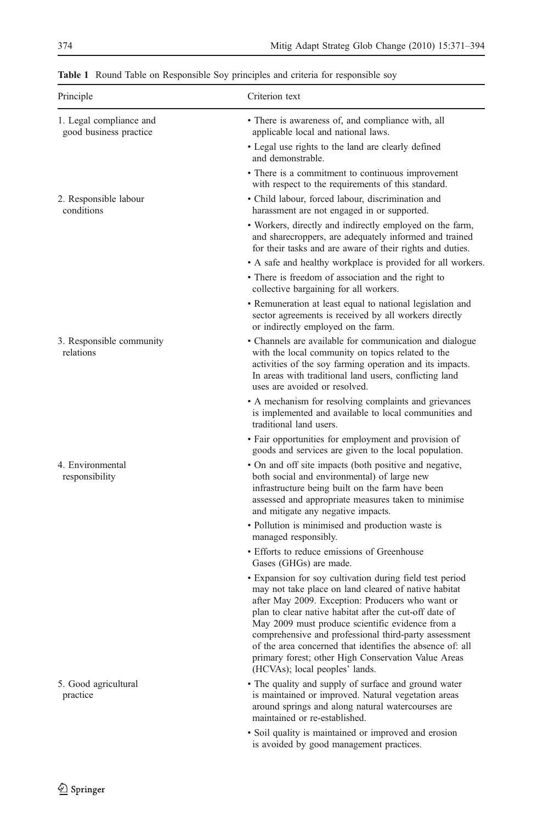| Principle                                         | Criterion text                                                                                                                                                                                                                                                                                                                                                                                                                                                                                    |
|---------------------------------------------------|---------------------------------------------------------------------------------------------------------------------------------------------------------------------------------------------------------------------------------------------------------------------------------------------------------------------------------------------------------------------------------------------------------------------------------------------------------------------------------------------------|
| 1. Legal compliance and<br>good business practice | • There is awareness of, and compliance with, all<br>applicable local and national laws.                                                                                                                                                                                                                                                                                                                                                                                                          |
|                                                   | • Legal use rights to the land are clearly defined<br>and demonstrable.                                                                                                                                                                                                                                                                                                                                                                                                                           |
|                                                   | • There is a commitment to continuous improvement<br>with respect to the requirements of this standard.                                                                                                                                                                                                                                                                                                                                                                                           |
| 2. Responsible labour<br>conditions               | • Child labour, forced labour, discrimination and<br>harassment are not engaged in or supported.                                                                                                                                                                                                                                                                                                                                                                                                  |
|                                                   | • Workers, directly and indirectly employed on the farm,<br>and sharecroppers, are adequately informed and trained<br>for their tasks and are aware of their rights and duties.                                                                                                                                                                                                                                                                                                                   |
|                                                   | • A safe and healthy workplace is provided for all workers.                                                                                                                                                                                                                                                                                                                                                                                                                                       |
|                                                   | • There is freedom of association and the right to<br>collective bargaining for all workers.                                                                                                                                                                                                                                                                                                                                                                                                      |
|                                                   | • Remuneration at least equal to national legislation and<br>sector agreements is received by all workers directly<br>or indirectly employed on the farm.                                                                                                                                                                                                                                                                                                                                         |
| 3. Responsible community<br>relations             | • Channels are available for communication and dialogue<br>with the local community on topics related to the<br>activities of the soy farming operation and its impacts.<br>In areas with traditional land users, conflicting land<br>uses are avoided or resolved.                                                                                                                                                                                                                               |
|                                                   | • A mechanism for resolving complaints and grievances<br>is implemented and available to local communities and<br>traditional land users.                                                                                                                                                                                                                                                                                                                                                         |
|                                                   | · Fair opportunities for employment and provision of<br>goods and services are given to the local population.                                                                                                                                                                                                                                                                                                                                                                                     |
| 4. Environmental<br>responsibility                | • On and off site impacts (both positive and negative,<br>both social and environmental) of large new<br>infrastructure being built on the farm have been<br>assessed and appropriate measures taken to minimise<br>and mitigate any negative impacts.                                                                                                                                                                                                                                            |
|                                                   | • Pollution is minimised and production waste is<br>managed responsibly.                                                                                                                                                                                                                                                                                                                                                                                                                          |
|                                                   | • Efforts to reduce emissions of Greenhouse<br>Gases (GHGs) are made.                                                                                                                                                                                                                                                                                                                                                                                                                             |
|                                                   | • Expansion for soy cultivation during field test period<br>may not take place on land cleared of native habitat<br>after May 2009. Exception: Producers who want or<br>plan to clear native habitat after the cut-off date of<br>May 2009 must produce scientific evidence from a<br>comprehensive and professional third-party assessment<br>of the area concerned that identifies the absence of: all<br>primary forest; other High Conservation Value Areas<br>(HCVAs); local peoples' lands. |
| 5. Good agricultural<br>practice                  | • The quality and supply of surface and ground water<br>is maintained or improved. Natural vegetation areas<br>around springs and along natural watercourses are<br>maintained or re-established.                                                                                                                                                                                                                                                                                                 |
|                                                   | • Soil quality is maintained or improved and erosion<br>is avoided by good management practices.                                                                                                                                                                                                                                                                                                                                                                                                  |

<span id="page-3-0"></span>Table 1 Round Table on Responsible Soy principles and criteria for responsible soy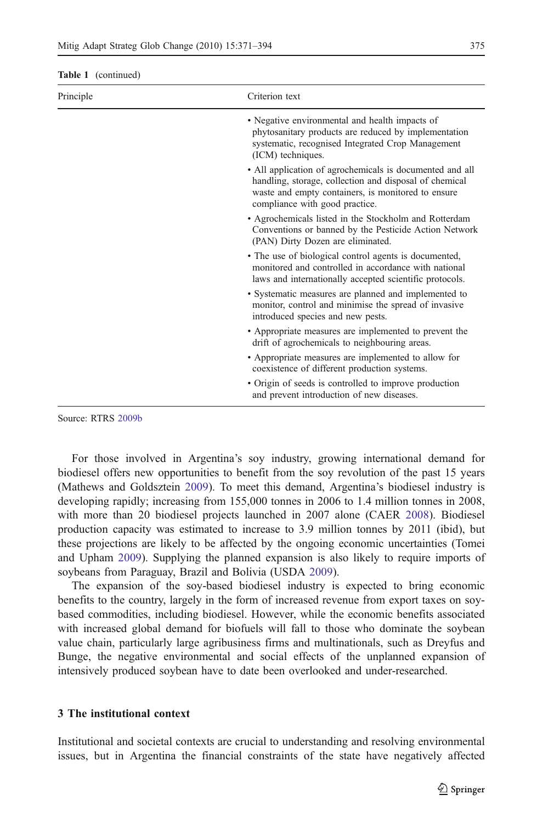| Principle | Criterion text                                                                                                                                                                                             |  |
|-----------|------------------------------------------------------------------------------------------------------------------------------------------------------------------------------------------------------------|--|
|           | • Negative environmental and health impacts of<br>phytosanitary products are reduced by implementation<br>systematic, recognised Integrated Crop Management<br>(ICM) techniques.                           |  |
|           | • All application of agrochemicals is documented and all<br>handling, storage, collection and disposal of chemical<br>waste and empty containers, is monitored to ensure<br>compliance with good practice. |  |
|           | • Agrochemicals listed in the Stockholm and Rotterdam<br>Conventions or banned by the Pesticide Action Network<br>(PAN) Dirty Dozen are eliminated.                                                        |  |
|           | • The use of biological control agents is documented,<br>monitored and controlled in accordance with national<br>laws and internationally accepted scientific protocols.                                   |  |
|           | • Systematic measures are planned and implemented to<br>monitor, control and minimise the spread of invasive<br>introduced species and new pests.                                                          |  |
|           | • Appropriate measures are implemented to prevent the<br>drift of agrochemicals to neighbouring areas.                                                                                                     |  |
|           | • Appropriate measures are implemented to allow for<br>coexistence of different production systems.                                                                                                        |  |
|           | • Origin of seeds is controlled to improve production<br>and prevent introduction of new diseases.                                                                                                         |  |

Source: RTRS [2009b](#page-22-0)

For those involved in Argentina's soy industry, growing international demand for biodiesel offers new opportunities to benefit from the soy revolution of the past 15 years (Mathews and Goldsztein [2009\)](#page-21-0). To meet this demand, Argentina's biodiesel industry is developing rapidly; increasing from 155,000 tonnes in 2006 to 1.4 million tonnes in 2008, with more than 20 biodiesel projects launched in 2007 alone (CAER [2008](#page-19-0)). Biodiesel production capacity was estimated to increase to 3.9 million tonnes by 2011 (ibid), but these projections are likely to be affected by the ongoing economic uncertainties (Tomei and Upham [2009\)](#page-22-0). Supplying the planned expansion is also likely to require imports of soybeans from Paraguay, Brazil and Bolivia (USDA [2009](#page-23-0)).

The expansion of the soy-based biodiesel industry is expected to bring economic benefits to the country, largely in the form of increased revenue from export taxes on soybased commodities, including biodiesel. However, while the economic benefits associated with increased global demand for biofuels will fall to those who dominate the soybean value chain, particularly large agribusiness firms and multinationals, such as Dreyfus and Bunge, the negative environmental and social effects of the unplanned expansion of intensively produced soybean have to date been overlooked and under-researched.

## 3 The institutional context

Institutional and societal contexts are crucial to understanding and resolving environmental issues, but in Argentina the financial constraints of the state have negatively affected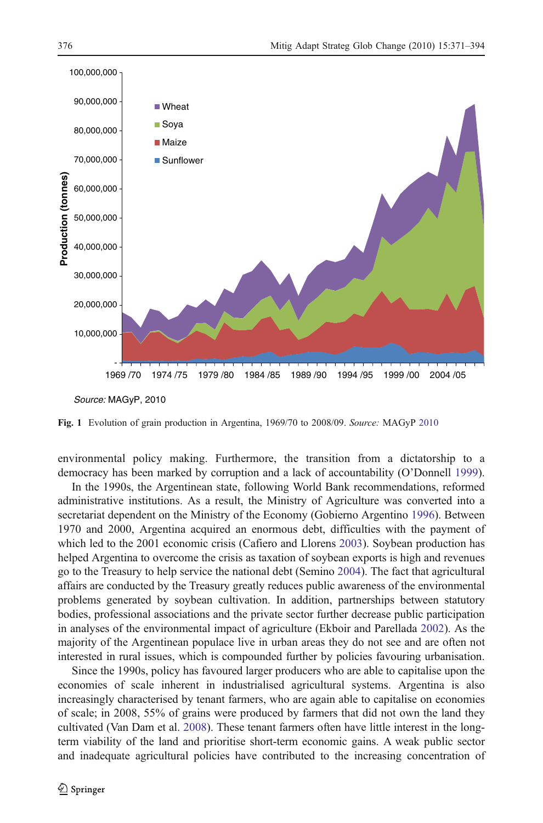<span id="page-5-0"></span>

Fig. 1 Evolution of grain production in Argentina, 1969/70 to 2008/09. Source: MAGyP [2010](#page-21-0)

environmental policy making. Furthermore, the transition from a dictatorship to a democracy has been marked by corruption and a lack of accountability (O'Donnell [1999](#page-21-0)).

In the 1990s, the Argentinean state, following World Bank recommendations, reformed administrative institutions. As a result, the Ministry of Agriculture was converted into a secretariat dependent on the Ministry of the Economy (Gobierno Argentino [1996\)](#page-20-0). Between 1970 and 2000, Argentina acquired an enormous debt, difficulties with the payment of which led to the 2001 economic crisis (Cafiero and Llorens [2003\)](#page-19-0). Soybean production has helped Argentina to overcome the crisis as taxation of soybean exports is high and revenues go to the Treasury to help service the national debt (Semino [2004](#page-22-0)). The fact that agricultural affairs are conducted by the Treasury greatly reduces public awareness of the environmental problems generated by soybean cultivation. In addition, partnerships between statutory bodies, professional associations and the private sector further decrease public participation in analyses of the environmental impact of agriculture (Ekboir and Parellada [2002\)](#page-19-0). As the majority of the Argentinean populace live in urban areas they do not see and are often not interested in rural issues, which is compounded further by policies favouring urbanisation.

Since the 1990s, policy has favoured larger producers who are able to capitalise upon the economies of scale inherent in industrialised agricultural systems. Argentina is also increasingly characterised by tenant farmers, who are again able to capitalise on economies of scale; in 2008, 55% of grains were produced by farmers that did not own the land they cultivated (Van Dam et al. [2008](#page-23-0)). These tenant farmers often have little interest in the longterm viability of the land and prioritise short-term economic gains. A weak public sector and inadequate agricultural policies have contributed to the increasing concentration of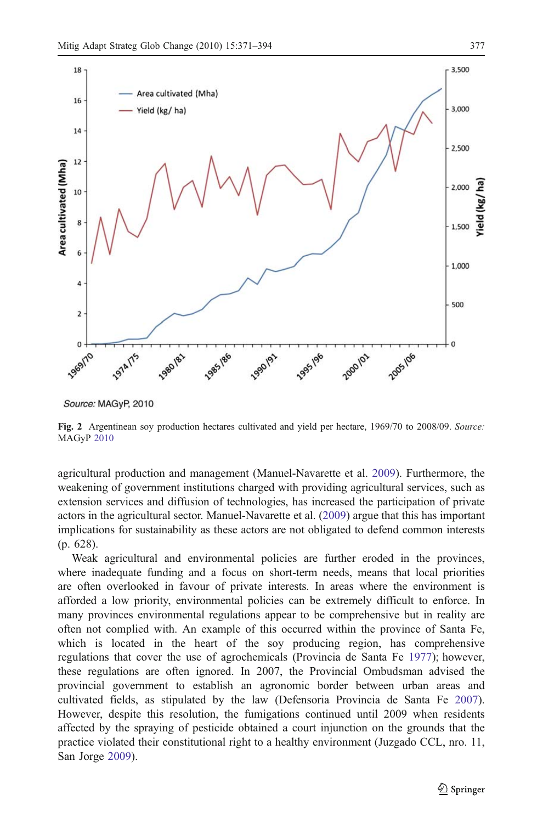<span id="page-6-0"></span>

Source: MAGyP, 2010

Fig. 2 Argentinean soy production hectares cultivated and yield per hectare, 1969/70 to 2008/09. Source: MAGyP [2010](#page-21-0)

agricultural production and management (Manuel-Navarette et al. [2009](#page-21-0)). Furthermore, the weakening of government institutions charged with providing agricultural services, such as extension services and diffusion of technologies, has increased the participation of private actors in the agricultural sector. Manuel-Navarette et al. [\(2009](#page-21-0)) argue that this has important implications for sustainability as these actors are not obligated to defend common interests (p. 628).

Weak agricultural and environmental policies are further eroded in the provinces, where inadequate funding and a focus on short-term needs, means that local priorities are often overlooked in favour of private interests. In areas where the environment is afforded a low priority, environmental policies can be extremely difficult to enforce. In many provinces environmental regulations appear to be comprehensive but in reality are often not complied with. An example of this occurred within the province of Santa Fe, which is located in the heart of the soy producing region, has comprehensive regulations that cover the use of agrochemicals (Provincia de Santa Fe [1977\)](#page-21-0); however, these regulations are often ignored. In 2007, the Provincial Ombudsman advised the provincial government to establish an agronomic border between urban areas and cultivated fields, as stipulated by the law (Defensoria Provincia de Santa Fe [2007](#page-19-0)). However, despite this resolution, the fumigations continued until 2009 when residents affected by the spraying of pesticide obtained a court injunction on the grounds that the practice violated their constitutional right to a healthy environment (Juzgado CCL, nro. 11, San Jorge [2009](#page-20-0)).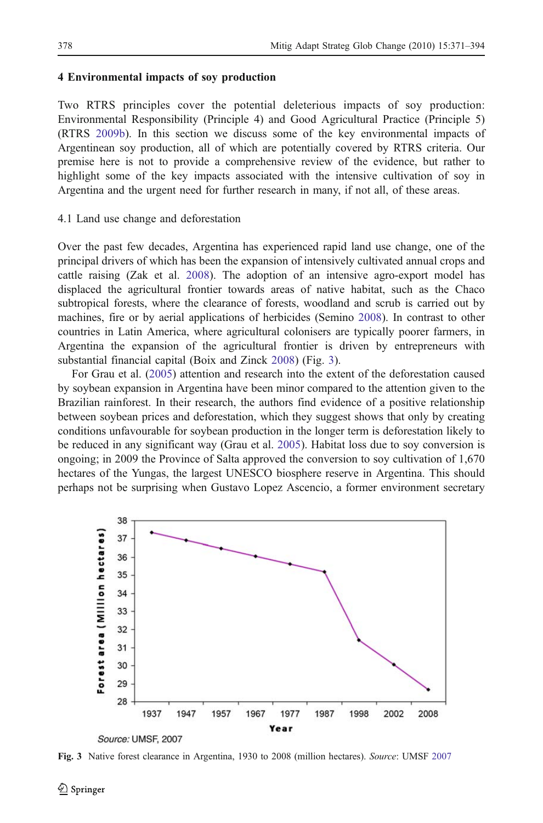# 4 Environmental impacts of soy production

Two RTRS principles cover the potential deleterious impacts of soy production: Environmental Responsibility (Principle 4) and Good Agricultural Practice (Principle 5) (RTRS [2009b](#page-22-0)). In this section we discuss some of the key environmental impacts of Argentinean soy production, all of which are potentially covered by RTRS criteria. Our premise here is not to provide a comprehensive review of the evidence, but rather to highlight some of the key impacts associated with the intensive cultivation of soy in Argentina and the urgent need for further research in many, if not all, of these areas.

## 4.1 Land use change and deforestation

Over the past few decades, Argentina has experienced rapid land use change, one of the principal drivers of which has been the expansion of intensively cultivated annual crops and cattle raising (Zak et al. [2008\)](#page-23-0). The adoption of an intensive agro-export model has displaced the agricultural frontier towards areas of native habitat, such as the Chaco subtropical forests, where the clearance of forests, woodland and scrub is carried out by machines, fire or by aerial applications of herbicides (Semino [2008](#page-22-0)). In contrast to other countries in Latin America, where agricultural colonisers are typically poorer farmers, in Argentina the expansion of the agricultural frontier is driven by entrepreneurs with substantial financial capital (Boix and Zinck [2008\)](#page-19-0) (Fig. 3).

For Grau et al. ([2005\)](#page-20-0) attention and research into the extent of the deforestation caused by soybean expansion in Argentina have been minor compared to the attention given to the Brazilian rainforest. In their research, the authors find evidence of a positive relationship between soybean prices and deforestation, which they suggest shows that only by creating conditions unfavourable for soybean production in the longer term is deforestation likely to be reduced in any significant way (Grau et al. [2005\)](#page-20-0). Habitat loss due to soy conversion is ongoing; in 2009 the Province of Salta approved the conversion to soy cultivation of 1,670 hectares of the Yungas, the largest UNESCO biosphere reserve in Argentina. This should perhaps not be surprising when Gustavo Lopez Ascencio, a former environment secretary



Fig. 3 Native forest clearance in Argentina, 1930 to 2008 (million hectares). Source: UMSF [2007](#page-22-0)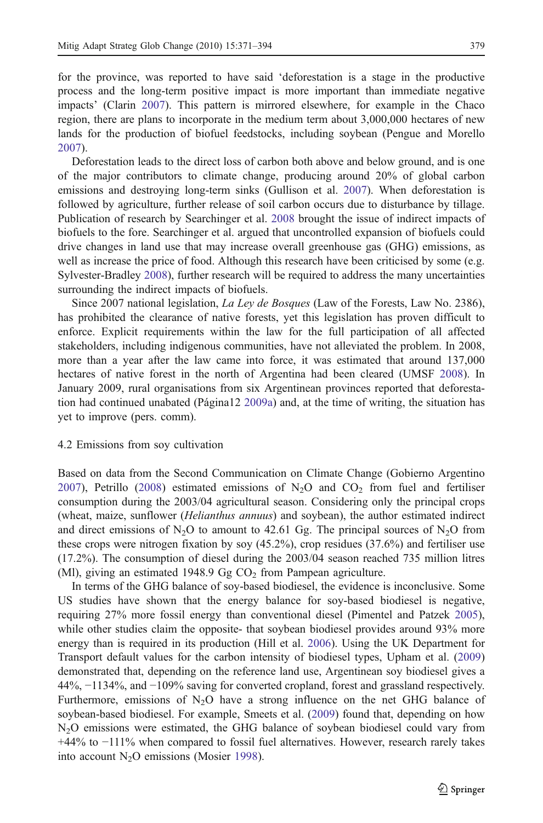for the province, was reported to have said 'deforestation is a stage in the productive process and the long-term positive impact is more important than immediate negative impacts' (Clarin [2007\)](#page-19-0). This pattern is mirrored elsewhere, for example in the Chaco region, there are plans to incorporate in the medium term about 3,000,000 hectares of new lands for the production of biofuel feedstocks, including soybean (Pengue and Morello [2007\)](#page-21-0).

Deforestation leads to the direct loss of carbon both above and below ground, and is one of the major contributors to climate change, producing around 20% of global carbon emissions and destroying long-term sinks (Gullison et al. [2007](#page-20-0)). When deforestation is followed by agriculture, further release of soil carbon occurs due to disturbance by tillage. Publication of research by Searchinger et al. [2008](#page-22-0) brought the issue of indirect impacts of biofuels to the fore. Searchinger et al. argued that uncontrolled expansion of biofuels could drive changes in land use that may increase overall greenhouse gas (GHG) emissions, as well as increase the price of food. Although this research have been criticised by some (e.g. Sylvester-Bradley [2008\)](#page-22-0), further research will be required to address the many uncertainties surrounding the indirect impacts of biofuels.

Since 2007 national legislation, La Ley de Bosques (Law of the Forests, Law No. 2386), has prohibited the clearance of native forests, yet this legislation has proven difficult to enforce. Explicit requirements within the law for the full participation of all affected stakeholders, including indigenous communities, have not alleviated the problem. In 2008, more than a year after the law came into force, it was estimated that around 137,000 hectares of native forest in the north of Argentina had been cleared (UMSF [2008](#page-22-0)). In January 2009, rural organisations from six Argentinean provinces reported that deforestation had continued unabated (Página12 [2009a\)](#page-21-0) and, at the time of writing, the situation has yet to improve (pers. comm).

#### 4.2 Emissions from soy cultivation

Based on data from the Second Communication on Climate Change (Gobierno Argentino [2007\)](#page-20-0), Petrillo [\(2008](#page-21-0)) estimated emissions of  $N<sub>2</sub>O$  and  $CO<sub>2</sub>$  from fuel and fertiliser consumption during the 2003/04 agricultural season. Considering only the principal crops (wheat, maize, sunflower (Helianthus annuus) and soybean), the author estimated indirect and direct emissions of N<sub>2</sub>O to amount to 42.61 Gg. The principal sources of N<sub>2</sub>O from these crops were nitrogen fixation by soy (45.2%), crop residues (37.6%) and fertiliser use (17.2%). The consumption of diesel during the 2003/04 season reached 735 million litres (MI), giving an estimated 1948.9 Gg  $CO<sub>2</sub>$  from Pampean agriculture.

In terms of the GHG balance of soy-based biodiesel, the evidence is inconclusive. Some US studies have shown that the energy balance for soy-based biodiesel is negative, requiring 27% more fossil energy than conventional diesel (Pimentel and Patzek [2005](#page-21-0)), while other studies claim the opposite- that soybean biodiesel provides around 93% more energy than is required in its production (Hill et al. [2006](#page-20-0)). Using the UK Department for Transport default values for the carbon intensity of biodiesel types, Upham et al. ([2009\)](#page-23-0) demonstrated that, depending on the reference land use, Argentinean soy biodiesel gives a 44%, −1134%, and −109% saving for converted cropland, forest and grassland respectively. Furthermore, emissions of  $N_2O$  have a strong influence on the net GHG balance of soybean-based biodiesel. For example, Smeets et al. [\(2009](#page-22-0)) found that, depending on how N2O emissions were estimated, the GHG balance of soybean biodiesel could vary from +44% to −111% when compared to fossil fuel alternatives. However, research rarely takes into account  $N_2O$  emissions (Mosier [1998\)](#page-21-0).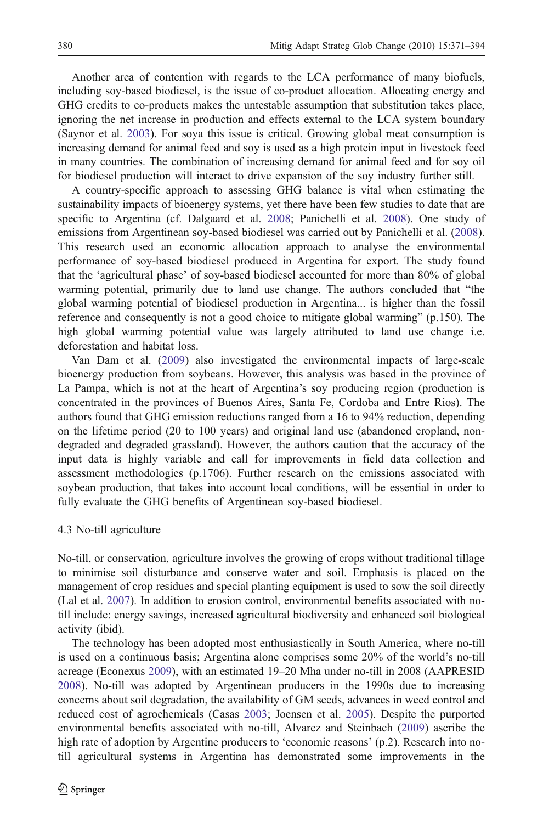Another area of contention with regards to the LCA performance of many biofuels, including soy-based biodiesel, is the issue of co-product allocation. Allocating energy and GHG credits to co-products makes the untestable assumption that substitution takes place, ignoring the net increase in production and effects external to the LCA system boundary (Saynor et al. [2003\)](#page-22-0). For soya this issue is critical. Growing global meat consumption is increasing demand for animal feed and soy is used as a high protein input in livestock feed in many countries. The combination of increasing demand for animal feed and for soy oil for biodiesel production will interact to drive expansion of the soy industry further still.

A country-specific approach to assessing GHG balance is vital when estimating the sustainability impacts of bioenergy systems, yet there have been few studies to date that are specific to Argentina (cf. Dalgaard et al. [2008](#page-19-0); Panichelli et al. [2008](#page-21-0)). One study of emissions from Argentinean soy-based biodiesel was carried out by Panichelli et al. [\(2008](#page-21-0)). This research used an economic allocation approach to analyse the environmental performance of soy-based biodiesel produced in Argentina for export. The study found that the 'agricultural phase' of soy-based biodiesel accounted for more than 80% of global warming potential, primarily due to land use change. The authors concluded that "the global warming potential of biodiesel production in Argentina... is higher than the fossil reference and consequently is not a good choice to mitigate global warming" (p.150). The high global warming potential value was largely attributed to land use change i.e. deforestation and habitat loss.

Van Dam et al. ([2009\)](#page-23-0) also investigated the environmental impacts of large-scale bioenergy production from soybeans. However, this analysis was based in the province of La Pampa, which is not at the heart of Argentina's soy producing region (production is concentrated in the provinces of Buenos Aires, Santa Fe, Cordoba and Entre Rios). The authors found that GHG emission reductions ranged from a 16 to 94% reduction, depending on the lifetime period (20 to 100 years) and original land use (abandoned cropland, nondegraded and degraded grassland). However, the authors caution that the accuracy of the input data is highly variable and call for improvements in field data collection and assessment methodologies (p.1706). Further research on the emissions associated with soybean production, that takes into account local conditions, will be essential in order to fully evaluate the GHG benefits of Argentinean soy-based biodiesel.

# 4.3 No-till agriculture

No-till, or conservation, agriculture involves the growing of crops without traditional tillage to minimise soil disturbance and conserve water and soil. Emphasis is placed on the management of crop residues and special planting equipment is used to sow the soil directly (Lal et al. [2007](#page-20-0)). In addition to erosion control, environmental benefits associated with notill include: energy savings, increased agricultural biodiversity and enhanced soil biological activity (ibid).

The technology has been adopted most enthusiastically in South America, where no-till is used on a continuous basis; Argentina alone comprises some 20% of the world's no-till acreage (Econexus [2009](#page-19-0)), with an estimated 19–20 Mha under no-till in 2008 (AAPRESID [2008\)](#page-18-0). No-till was adopted by Argentinean producers in the 1990s due to increasing concerns about soil degradation, the availability of GM seeds, advances in weed control and reduced cost of agrochemicals (Casas [2003;](#page-19-0) Joensen et al. [2005](#page-20-0)). Despite the purported environmental benefits associated with no-till, Alvarez and Steinbach [\(2009\)](#page-18-0) ascribe the high rate of adoption by Argentine producers to 'economic reasons' (p.2). Research into notill agricultural systems in Argentina has demonstrated some improvements in the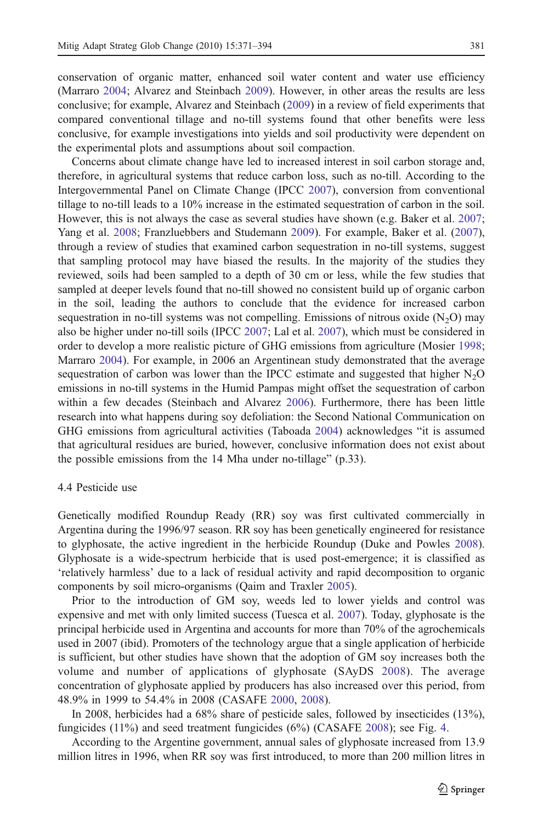conservation of organic matter, enhanced soil water content and water use efficiency (Marraro [2004;](#page-21-0) Alvarez and Steinbach [2009](#page-18-0)). However, in other areas the results are less conclusive; for example, Alvarez and Steinbach [\(2009](#page-18-0)) in a review of field experiments that compared conventional tillage and no-till systems found that other benefits were less conclusive, for example investigations into yields and soil productivity were dependent on the experimental plots and assumptions about soil compaction.

Concerns about climate change have led to increased interest in soil carbon storage and, therefore, in agricultural systems that reduce carbon loss, such as no-till. According to the Intergovernmental Panel on Climate Change (IPCC [2007\)](#page-20-0), conversion from conventional tillage to no-till leads to a 10% increase in the estimated sequestration of carbon in the soil. However, this is not always the case as several studies have shown (e.g. Baker et al. [2007](#page-18-0); Yang et al. [2008;](#page-23-0) Franzluebbers and Studemann [2009\)](#page-20-0). For example, Baker et al. [\(2007](#page-18-0)), through a review of studies that examined carbon sequestration in no-till systems, suggest that sampling protocol may have biased the results. In the majority of the studies they reviewed, soils had been sampled to a depth of 30 cm or less, while the few studies that sampled at deeper levels found that no-till showed no consistent build up of organic carbon in the soil, leading the authors to conclude that the evidence for increased carbon sequestration in no-till systems was not compelling. Emissions of nitrous oxide  $(N_2O)$  may also be higher under no-till soils (IPCC [2007;](#page-20-0) Lal et al. [2007](#page-20-0)), which must be considered in order to develop a more realistic picture of GHG emissions from agriculture (Mosier [1998](#page-21-0); Marraro [2004](#page-21-0)). For example, in 2006 an Argentinean study demonstrated that the average sequestration of carbon was lower than the IPCC estimate and suggested that higher  $N_2O$ emissions in no-till systems in the Humid Pampas might offset the sequestration of carbon within a few decades (Steinbach and Alvarez [2006\)](#page-22-0). Furthermore, there has been little research into what happens during soy defoliation: the Second National Communication on GHG emissions from agricultural activities (Taboada [2004](#page-22-0)) acknowledges "it is assumed that agricultural residues are buried, however, conclusive information does not exist about the possible emissions from the 14 Mha under no-tillage" (p.33).

# 4.4 Pesticide use

Genetically modified Roundup Ready (RR) soy was first cultivated commercially in Argentina during the 1996/97 season. RR soy has been genetically engineered for resistance to glyphosate, the active ingredient in the herbicide Roundup (Duke and Powles [2008](#page-19-0)). Glyphosate is a wide-spectrum herbicide that is used post-emergence; it is classified as 'relatively harmless' due to a lack of residual activity and rapid decomposition to organic components by soil micro-organisms (Qaim and Traxler [2005\)](#page-21-0).

Prior to the introduction of GM soy, weeds led to lower yields and control was expensive and met with only limited success (Tuesca et al. [2007](#page-22-0)). Today, glyphosate is the principal herbicide used in Argentina and accounts for more than 70% of the agrochemicals used in 2007 (ibid). Promoters of the technology argue that a single application of herbicide is sufficient, but other studies have shown that the adoption of GM soy increases both the volume and number of applications of glyphosate (SAyDS [2008\)](#page-22-0). The average concentration of glyphosate applied by producers has also increased over this period, from 48.9% in 1999 to 54.4% in 2008 (CASAFE [2000](#page-19-0), [2008\)](#page-19-0).

In 2008, herbicides had a 68% share of pesticide sales, followed by insecticides (13%), fungicides (11%) and seed treatment fungicides (6%) (CASAFE [2008\)](#page-19-0); see Fig. [4](#page-11-0).

According to the Argentine government, annual sales of glyphosate increased from 13.9 million litres in 1996, when RR soy was first introduced, to more than 200 million litres in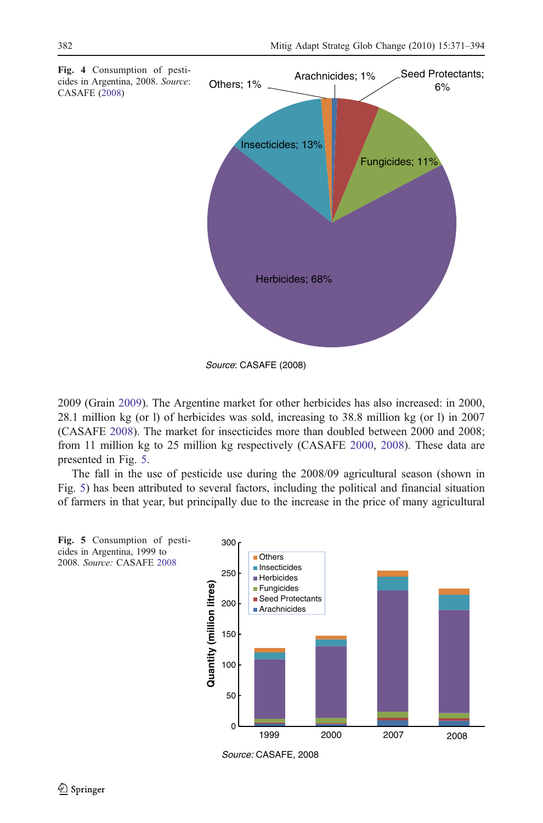<span id="page-11-0"></span>

*Source*: CASAFE (2008)

2009 (Grain [2009\)](#page-20-0). The Argentine market for other herbicides has also increased: in 2000, 28.1 million kg (or l) of herbicides was sold, increasing to 38.8 million kg (or l) in 2007 (CASAFE [2008\)](#page-19-0). The market for insecticides more than doubled between 2000 and 2008; from 11 million kg to 25 million kg respectively (CASAFE [2000](#page-19-0), [2008](#page-19-0)). These data are presented in Fig. 5.

The fall in the use of pesticide use during the 2008/09 agricultural season (shown in Fig. 5) has been attributed to several factors, including the political and financial situation of farmers in that year, but principally due to the increase in the price of many agricultural



*Source:* CASAFE, 2008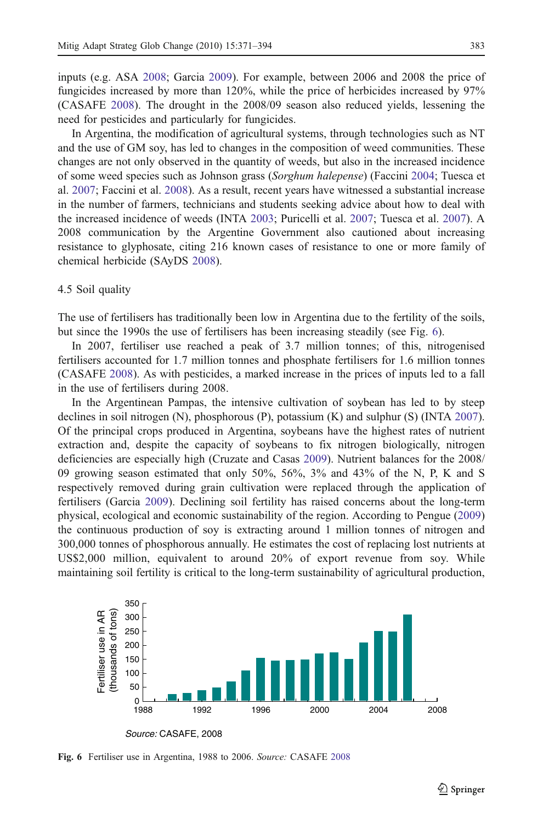inputs (e.g. ASA [2008;](#page-18-0) Garcia [2009\)](#page-20-0). For example, between 2006 and 2008 the price of fungicides increased by more than 120%, while the price of herbicides increased by 97% (CASAFE [2008\)](#page-19-0). The drought in the 2008/09 season also reduced yields, lessening the need for pesticides and particularly for fungicides.

In Argentina, the modification of agricultural systems, through technologies such as NT and the use of GM soy, has led to changes in the composition of weed communities. These changes are not only observed in the quantity of weeds, but also in the increased incidence of some weed species such as Johnson grass (Sorghum halepense) (Faccini [2004;](#page-19-0) Tuesca et al. [2007](#page-22-0); Faccini et al. [2008](#page-19-0)). As a result, recent years have witnessed a substantial increase in the number of farmers, technicians and students seeking advice about how to deal with the increased incidence of weeds (INTA [2003;](#page-20-0) Puricelli et al. [2007](#page-21-0); Tuesca et al. [2007](#page-22-0)). A 2008 communication by the Argentine Government also cautioned about increasing resistance to glyphosate, citing 216 known cases of resistance to one or more family of chemical herbicide (SAyDS [2008\)](#page-22-0).

#### 4.5 Soil quality

The use of fertilisers has traditionally been low in Argentina due to the fertility of the soils, but since the 1990s the use of fertilisers has been increasing steadily (see Fig. 6).

In 2007, fertiliser use reached a peak of 3.7 million tonnes; of this, nitrogenised fertilisers accounted for 1.7 million tonnes and phosphate fertilisers for 1.6 million tonnes (CASAFE [2008\)](#page-19-0). As with pesticides, a marked increase in the prices of inputs led to a fall in the use of fertilisers during 2008.

In the Argentinean Pampas, the intensive cultivation of soybean has led to by steep declines in soil nitrogen (N), phosphorous (P), potassium (K) and sulphur (S) (INTA [2007](#page-20-0)). Of the principal crops produced in Argentina, soybeans have the highest rates of nutrient extraction and, despite the capacity of soybeans to fix nitrogen biologically, nitrogen deficiencies are especially high (Cruzate and Casas [2009\)](#page-19-0). Nutrient balances for the 2008/ 09 growing season estimated that only 50%, 56%, 3% and 43% of the N, P, K and S respectively removed during grain cultivation were replaced through the application of fertilisers (Garcia [2009](#page-20-0)). Declining soil fertility has raised concerns about the long-term physical, ecological and economic sustainability of the region. According to Pengue ([2009\)](#page-21-0) the continuous production of soy is extracting around 1 million tonnes of nitrogen and 300,000 tonnes of phosphorous annually. He estimates the cost of replacing lost nutrients at US\$2,000 million, equivalent to around 20% of export revenue from soy. While maintaining soil fertility is critical to the long-term sustainability of agricultural production,



Fig. 6 Fertiliser use in Argentina, 1988 to 2006. Source: CASAFE [2008](#page-19-0)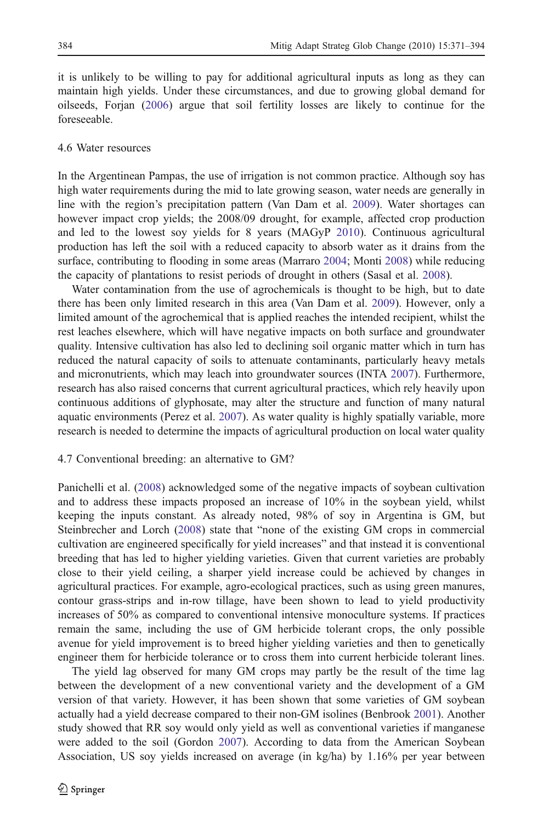it is unlikely to be willing to pay for additional agricultural inputs as long as they can maintain high yields. Under these circumstances, and due to growing global demand for oilseeds, Forjan ([2006\)](#page-20-0) argue that soil fertility losses are likely to continue for the foreseeable.

# 4.6 Water resources

In the Argentinean Pampas, the use of irrigation is not common practice. Although soy has high water requirements during the mid to late growing season, water needs are generally in line with the region's precipitation pattern (Van Dam et al. [2009](#page-23-0)). Water shortages can however impact crop yields; the 2008/09 drought, for example, affected crop production and led to the lowest soy yields for 8 years (MAGyP [2010](#page-21-0)). Continuous agricultural production has left the soil with a reduced capacity to absorb water as it drains from the surface, contributing to flooding in some areas (Marraro [2004;](#page-21-0) Monti [2008\)](#page-21-0) while reducing the capacity of plantations to resist periods of drought in others (Sasal et al. [2008](#page-22-0)).

Water contamination from the use of agrochemicals is thought to be high, but to date there has been only limited research in this area (Van Dam et al. [2009\)](#page-23-0). However, only a limited amount of the agrochemical that is applied reaches the intended recipient, whilst the rest leaches elsewhere, which will have negative impacts on both surface and groundwater quality. Intensive cultivation has also led to declining soil organic matter which in turn has reduced the natural capacity of soils to attenuate contaminants, particularly heavy metals and micronutrients, which may leach into groundwater sources (INTA [2007](#page-20-0)). Furthermore, research has also raised concerns that current agricultural practices, which rely heavily upon continuous additions of glyphosate, may alter the structure and function of many natural aquatic environments (Perez et al. [2007](#page-21-0)). As water quality is highly spatially variable, more research is needed to determine the impacts of agricultural production on local water quality

### 4.7 Conventional breeding: an alternative to GM?

Panichelli et al. ([2008\)](#page-21-0) acknowledged some of the negative impacts of soybean cultivation and to address these impacts proposed an increase of 10% in the soybean yield, whilst keeping the inputs constant. As already noted, 98% of soy in Argentina is GM, but Steinbrecher and Lorch [\(2008](#page-22-0)) state that "none of the existing GM crops in commercial cultivation are engineered specifically for yield increases" and that instead it is conventional breeding that has led to higher yielding varieties. Given that current varieties are probably close to their yield ceiling, a sharper yield increase could be achieved by changes in agricultural practices. For example, agro-ecological practices, such as using green manures, contour grass-strips and in-row tillage, have been shown to lead to yield productivity increases of 50% as compared to conventional intensive monoculture systems. If practices remain the same, including the use of GM herbicide tolerant crops, the only possible avenue for yield improvement is to breed higher yielding varieties and then to genetically engineer them for herbicide tolerance or to cross them into current herbicide tolerant lines.

The yield lag observed for many GM crops may partly be the result of the time lag between the development of a new conventional variety and the development of a GM version of that variety. However, it has been shown that some varieties of GM soybean actually had a yield decrease compared to their non-GM isolines (Benbrook [2001\)](#page-19-0). Another study showed that RR soy would only yield as well as conventional varieties if manganese were added to the soil (Gordon [2007\)](#page-20-0). According to data from the American Soybean Association, US soy yields increased on average (in kg/ha) by 1.16% per year between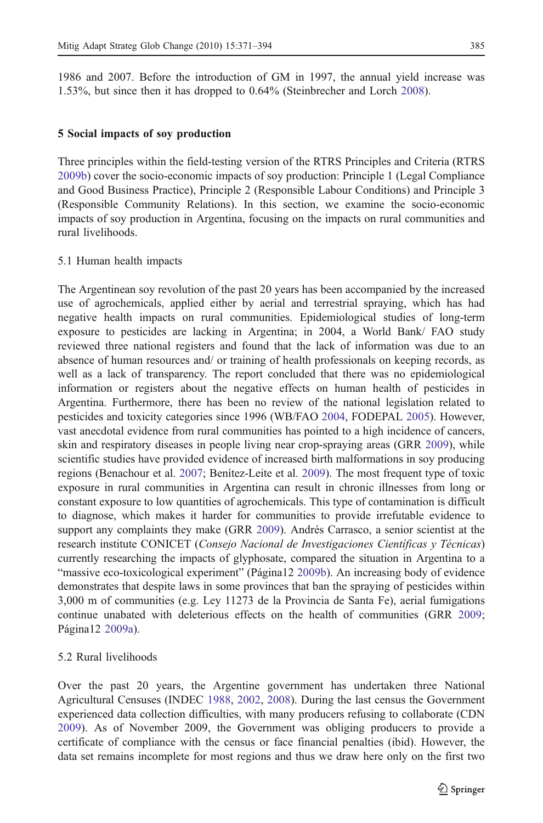1986 and 2007. Before the introduction of GM in 1997, the annual yield increase was 1.53%, but since then it has dropped to 0.64% (Steinbrecher and Lorch [2008\)](#page-22-0).

#### 5 Social impacts of soy production

Three principles within the field-testing version of the RTRS Principles and Criteria (RTRS [2009b](#page-22-0)) cover the socio-economic impacts of soy production: Principle 1 (Legal Compliance and Good Business Practice), Principle 2 (Responsible Labour Conditions) and Principle 3 (Responsible Community Relations). In this section, we examine the socio-economic impacts of soy production in Argentina, focusing on the impacts on rural communities and rural livelihoods.

# 5.1 Human health impacts

The Argentinean soy revolution of the past 20 years has been accompanied by the increased use of agrochemicals, applied either by aerial and terrestrial spraying, which has had negative health impacts on rural communities. Epidemiological studies of long-term exposure to pesticides are lacking in Argentina; in 2004, a World Bank/ FAO study reviewed three national registers and found that the lack of information was due to an absence of human resources and/ or training of health professionals on keeping records, as well as a lack of transparency. The report concluded that there was no epidemiological information or registers about the negative effects on human health of pesticides in Argentina. Furthermore, there has been no review of the national legislation related to pesticides and toxicity categories since 1996 (WB/FAO [2004](#page-23-0), FODEPAL [2005\)](#page-20-0). However, vast anecdotal evidence from rural communities has pointed to a high incidence of cancers, skin and respiratory diseases in people living near crop-spraying areas (GRR [2009](#page-20-0)), while scientific studies have provided evidence of increased birth malformations in soy producing regions (Benachour et al. [2007](#page-18-0); Benítez-Leite et al. [2009\)](#page-19-0). The most frequent type of toxic exposure in rural communities in Argentina can result in chronic illnesses from long or constant exposure to low quantities of agrochemicals. This type of contamination is difficult to diagnose, which makes it harder for communities to provide irrefutable evidence to support any complaints they make (GRR [2009\)](#page-20-0). Andrés Carrasco, a senior scientist at the research institute CONICET (Consejo Nacional de Investigaciones Científicas y Técnicas) currently researching the impacts of glyphosate, compared the situation in Argentina to a "massive eco-toxicological experiment" (Página12 [2009b](#page-21-0)). An increasing body of evidence demonstrates that despite laws in some provinces that ban the spraying of pesticides within 3,000 m of communities (e.g. Ley 11273 de la Provincia de Santa Fe), aerial fumigations continue unabated with deleterious effects on the health of communities (GRR [2009](#page-20-0); Página12 [2009a\)](#page-21-0).

# 5.2 Rural livelihoods

Over the past 20 years, the Argentine government has undertaken three National Agricultural Censuses (INDEC [1988,](#page-20-0) [2002](#page-20-0), [2008](#page-20-0)). During the last census the Government experienced data collection difficulties, with many producers refusing to collaborate (CDN [2009\)](#page-19-0). As of November 2009, the Government was obliging producers to provide a certificate of compliance with the census or face financial penalties (ibid). However, the data set remains incomplete for most regions and thus we draw here only on the first two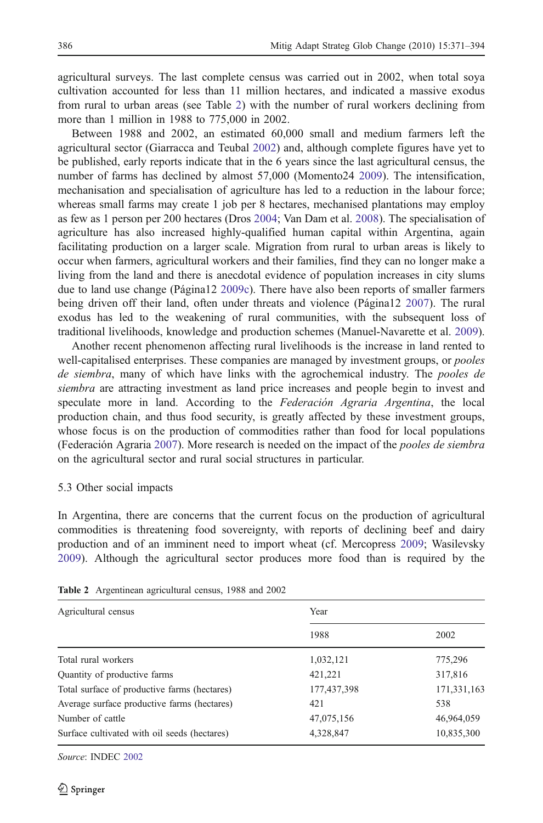agricultural surveys. The last complete census was carried out in 2002, when total soya cultivation accounted for less than 11 million hectares, and indicated a massive exodus from rural to urban areas (see Table 2) with the number of rural workers declining from more than 1 million in 1988 to 775,000 in 2002.

Between 1988 and 2002, an estimated 60,000 small and medium farmers left the agricultural sector (Giarracca and Teubal [2002\)](#page-20-0) and, although complete figures have yet to be published, early reports indicate that in the 6 years since the last agricultural census, the number of farms has declined by almost 57,000 (Momento24 [2009\)](#page-21-0). The intensification, mechanisation and specialisation of agriculture has led to a reduction in the labour force; whereas small farms may create 1 job per 8 hectares, mechanised plantations may employ as few as 1 person per 200 hectares (Dros [2004;](#page-19-0) Van Dam et al. [2008\)](#page-23-0). The specialisation of agriculture has also increased highly-qualified human capital within Argentina, again facilitating production on a larger scale. Migration from rural to urban areas is likely to occur when farmers, agricultural workers and their families, find they can no longer make a living from the land and there is anecdotal evidence of population increases in city slums due to land use change (Página12 [2009c\)](#page-21-0). There have also been reports of smaller farmers being driven off their land, often under threats and violence (Página12 [2007](#page-21-0)). The rural exodus has led to the weakening of rural communities, with the subsequent loss of traditional livelihoods, knowledge and production schemes (Manuel-Navarette et al. [2009](#page-21-0)).

Another recent phenomenon affecting rural livelihoods is the increase in land rented to well-capitalised enterprises. These companies are managed by investment groups, or *pooles* de siembra, many of which have links with the agrochemical industry. The pooles de siembra are attracting investment as land price increases and people begin to invest and speculate more in land. According to the Federación Agraria Argentina, the local production chain, and thus food security, is greatly affected by these investment groups, whose focus is on the production of commodities rather than food for local populations (Federación Agraria [2007\)](#page-19-0). More research is needed on the impact of the pooles de siembra on the agricultural sector and rural social structures in particular.

### 5.3 Other social impacts

In Argentina, there are concerns that the current focus on the production of agricultural commodities is threatening food sovereignty, with reports of declining beef and dairy production and of an imminent need to import wheat (cf. Mercopress [2009](#page-21-0); Wasilevsky [2009\)](#page-23-0). Although the agricultural sector produces more food than is required by the

| Agricultural census                          | Year        |             |
|----------------------------------------------|-------------|-------------|
|                                              | 1988        | 2002        |
| Total rural workers                          | 1,032,121   | 775,296     |
| Quantity of productive farms                 | 421,221     | 317,816     |
| Total surface of productive farms (hectares) | 177,437,398 | 171,331,163 |
| Average surface productive farms (hectares)  | 421         | 538         |
| Number of cattle                             | 47,075,156  | 46,964,059  |
| Surface cultivated with oil seeds (hectares) | 4,328,847   | 10,835,300  |

Table 2 Argentinean agricultural census, 1988 and 2002

Source: INDEC [2002](#page-20-0)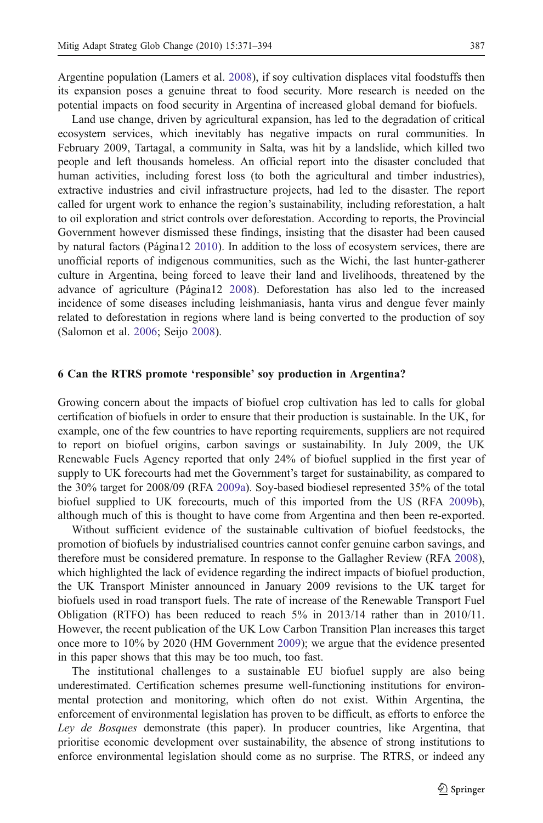Argentine population (Lamers et al. [2008](#page-20-0)), if soy cultivation displaces vital foodstuffs then its expansion poses a genuine threat to food security. More research is needed on the potential impacts on food security in Argentina of increased global demand for biofuels.

Land use change, driven by agricultural expansion, has led to the degradation of critical ecosystem services, which inevitably has negative impacts on rural communities. In February 2009, Tartagal, a community in Salta, was hit by a landslide, which killed two people and left thousands homeless. An official report into the disaster concluded that human activities, including forest loss (to both the agricultural and timber industries), extractive industries and civil infrastructure projects, had led to the disaster. The report called for urgent work to enhance the region's sustainability, including reforestation, a halt to oil exploration and strict controls over deforestation. According to reports, the Provincial Government however dismissed these findings, insisting that the disaster had been caused by natural factors (Página12 [2010](#page-21-0)). In addition to the loss of ecosystem services, there are unofficial reports of indigenous communities, such as the Wichi, the last hunter-gatherer culture in Argentina, being forced to leave their land and livelihoods, threatened by the advance of agriculture (Página12 [2008\)](#page-21-0). Deforestation has also led to the increased incidence of some diseases including leishmaniasis, hanta virus and dengue fever mainly related to deforestation in regions where land is being converted to the production of soy (Salomon et al. [2006](#page-22-0); Seijo [2008](#page-22-0)).

# 6 Can the RTRS promote 'responsible' soy production in Argentina?

Growing concern about the impacts of biofuel crop cultivation has led to calls for global certification of biofuels in order to ensure that their production is sustainable. In the UK, for example, one of the few countries to have reporting requirements, suppliers are not required to report on biofuel origins, carbon savings or sustainability. In July 2009, the UK Renewable Fuels Agency reported that only 24% of biofuel supplied in the first year of supply to UK forecourts had met the Government's target for sustainability, as compared to the 30% target for 2008/09 (RFA [2009a\)](#page-22-0). Soy-based biodiesel represented 35% of the total biofuel supplied to UK forecourts, much of this imported from the US (RFA [2009b](#page-22-0)), although much of this is thought to have come from Argentina and then been re-exported.

Without sufficient evidence of the sustainable cultivation of biofuel feedstocks, the promotion of biofuels by industrialised countries cannot confer genuine carbon savings, and therefore must be considered premature. In response to the Gallagher Review (RFA [2008](#page-22-0)), which highlighted the lack of evidence regarding the indirect impacts of biofuel production, the UK Transport Minister announced in January 2009 revisions to the UK target for biofuels used in road transport fuels. The rate of increase of the Renewable Transport Fuel Obligation (RTFO) has been reduced to reach 5% in 2013/14 rather than in 2010/11. However, the recent publication of the UK Low Carbon Transition Plan increases this target once more to 10% by 2020 (HM Government [2009\)](#page-20-0); we argue that the evidence presented in this paper shows that this may be too much, too fast.

The institutional challenges to a sustainable EU biofuel supply are also being underestimated. Certification schemes presume well-functioning institutions for environmental protection and monitoring, which often do not exist. Within Argentina, the enforcement of environmental legislation has proven to be difficult, as efforts to enforce the Ley de Bosques demonstrate (this paper). In producer countries, like Argentina, that prioritise economic development over sustainability, the absence of strong institutions to enforce environmental legislation should come as no surprise. The RTRS, or indeed any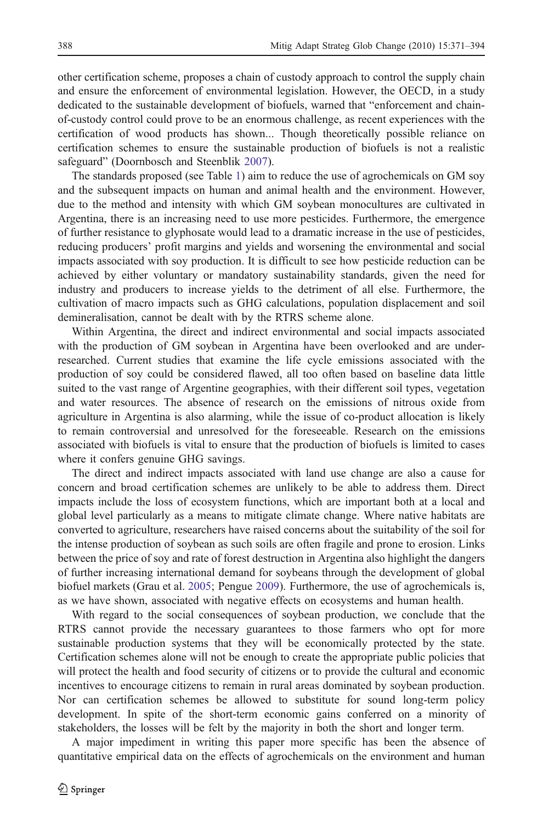other certification scheme, proposes a chain of custody approach to control the supply chain and ensure the enforcement of environmental legislation. However, the OECD, in a study dedicated to the sustainable development of biofuels, warned that "enforcement and chainof-custody control could prove to be an enormous challenge, as recent experiences with the certification of wood products has shown... Though theoretically possible reliance on certification schemes to ensure the sustainable production of biofuels is not a realistic safeguard" (Doornbosch and Steenblik [2007\)](#page-19-0).

The standards proposed (see Table [1](#page-3-0)) aim to reduce the use of agrochemicals on GM soy and the subsequent impacts on human and animal health and the environment. However, due to the method and intensity with which GM soybean monocultures are cultivated in Argentina, there is an increasing need to use more pesticides. Furthermore, the emergence of further resistance to glyphosate would lead to a dramatic increase in the use of pesticides, reducing producers' profit margins and yields and worsening the environmental and social impacts associated with soy production. It is difficult to see how pesticide reduction can be achieved by either voluntary or mandatory sustainability standards, given the need for industry and producers to increase yields to the detriment of all else. Furthermore, the cultivation of macro impacts such as GHG calculations, population displacement and soil demineralisation, cannot be dealt with by the RTRS scheme alone.

Within Argentina, the direct and indirect environmental and social impacts associated with the production of GM soybean in Argentina have been overlooked and are underresearched. Current studies that examine the life cycle emissions associated with the production of soy could be considered flawed, all too often based on baseline data little suited to the vast range of Argentine geographies, with their different soil types, vegetation and water resources. The absence of research on the emissions of nitrous oxide from agriculture in Argentina is also alarming, while the issue of co-product allocation is likely to remain controversial and unresolved for the foreseeable. Research on the emissions associated with biofuels is vital to ensure that the production of biofuels is limited to cases where it confers genuine GHG savings.

The direct and indirect impacts associated with land use change are also a cause for concern and broad certification schemes are unlikely to be able to address them. Direct impacts include the loss of ecosystem functions, which are important both at a local and global level particularly as a means to mitigate climate change. Where native habitats are converted to agriculture, researchers have raised concerns about the suitability of the soil for the intense production of soybean as such soils are often fragile and prone to erosion. Links between the price of soy and rate of forest destruction in Argentina also highlight the dangers of further increasing international demand for soybeans through the development of global biofuel markets (Grau et al. [2005](#page-20-0); Pengue [2009](#page-21-0)). Furthermore, the use of agrochemicals is, as we have shown, associated with negative effects on ecosystems and human health.

With regard to the social consequences of soybean production, we conclude that the RTRS cannot provide the necessary guarantees to those farmers who opt for more sustainable production systems that they will be economically protected by the state. Certification schemes alone will not be enough to create the appropriate public policies that will protect the health and food security of citizens or to provide the cultural and economic incentives to encourage citizens to remain in rural areas dominated by soybean production. Nor can certification schemes be allowed to substitute for sound long-term policy development. In spite of the short-term economic gains conferred on a minority of stakeholders, the losses will be felt by the majority in both the short and longer term.

A major impediment in writing this paper more specific has been the absence of quantitative empirical data on the effects of agrochemicals on the environment and human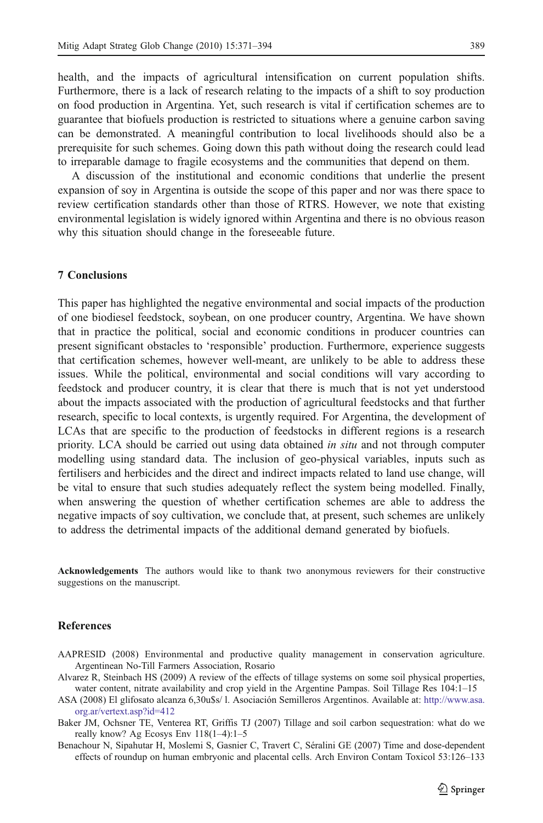<span id="page-18-0"></span>health, and the impacts of agricultural intensification on current population shifts. Furthermore, there is a lack of research relating to the impacts of a shift to soy production on food production in Argentina. Yet, such research is vital if certification schemes are to guarantee that biofuels production is restricted to situations where a genuine carbon saving can be demonstrated. A meaningful contribution to local livelihoods should also be a prerequisite for such schemes. Going down this path without doing the research could lead to irreparable damage to fragile ecosystems and the communities that depend on them.

A discussion of the institutional and economic conditions that underlie the present expansion of soy in Argentina is outside the scope of this paper and nor was there space to review certification standards other than those of RTRS. However, we note that existing environmental legislation is widely ignored within Argentina and there is no obvious reason why this situation should change in the foreseeable future.

# 7 Conclusions

This paper has highlighted the negative environmental and social impacts of the production of one biodiesel feedstock, soybean, on one producer country, Argentina. We have shown that in practice the political, social and economic conditions in producer countries can present significant obstacles to 'responsible' production. Furthermore, experience suggests that certification schemes, however well-meant, are unlikely to be able to address these issues. While the political, environmental and social conditions will vary according to feedstock and producer country, it is clear that there is much that is not yet understood about the impacts associated with the production of agricultural feedstocks and that further research, specific to local contexts, is urgently required. For Argentina, the development of LCAs that are specific to the production of feedstocks in different regions is a research priority. LCA should be carried out using data obtained in situ and not through computer modelling using standard data. The inclusion of geo-physical variables, inputs such as fertilisers and herbicides and the direct and indirect impacts related to land use change, will be vital to ensure that such studies adequately reflect the system being modelled. Finally, when answering the question of whether certification schemes are able to address the negative impacts of soy cultivation, we conclude that, at present, such schemes are unlikely to address the detrimental impacts of the additional demand generated by biofuels.

Acknowledgements The authors would like to thank two anonymous reviewers for their constructive suggestions on the manuscript.

# References

- AAPRESID (2008) Environmental and productive quality management in conservation agriculture. Argentinean No-Till Farmers Association, Rosario
- Alvarez R, Steinbach HS (2009) A review of the effects of tillage systems on some soil physical properties, water content, nitrate availability and crop yield in the Argentine Pampas. Soil Tillage Res 104:1–15
- ASA (2008) El glifosato alcanza 6,30u\$s/ l. Asociación Semilleros Argentinos. Available at: [http://www.asa.](http://www.asa.org.ar/vertext.asp?id=412) [org.ar/vertext.asp?id=412](http://www.asa.org.ar/vertext.asp?id=412)
- Baker JM, Ochsner TE, Venterea RT, Griffis TJ (2007) Tillage and soil carbon sequestration: what do we really know? Ag Ecosys Env 118(1–4):1–5
- Benachour N, Sipahutar H, Moslemi S, Gasnier C, Travert C, Séralini GE (2007) Time and dose-dependent effects of roundup on human embryonic and placental cells. Arch Environ Contam Toxicol 53:126–133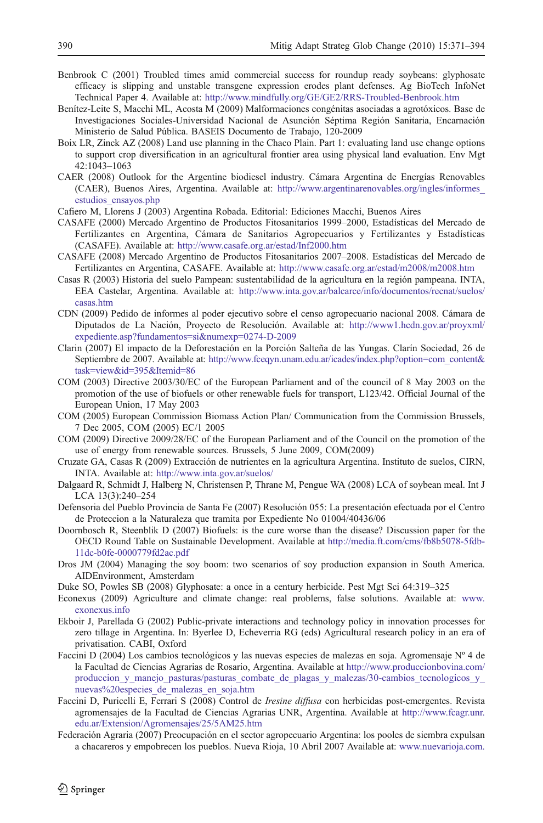- <span id="page-19-0"></span>Benbrook C (2001) Troubled times amid commercial success for roundup ready soybeans: glyphosate efficacy is slipping and unstable transgene expression erodes plant defenses. Ag BioTech InfoNet Technical Paper 4. Available at: <http://www.mindfully.org/GE/GE2/RRS-Troubled-Benbrook.htm>
- Benítez-Leite S, Macchi ML, Acosta M (2009) Malformaciones congénitas asociadas a agrotóxicos. Base de Investigaciones Sociales-Universidad Nacional de Asunción Séptima Región Sanitaria, Encarnación Ministerio de Salud Pública. BASEIS Documento de Trabajo, 120-2009
- Boix LR, Zinck AZ (2008) Land use planning in the Chaco Plain. Part 1: evaluating land use change options to support crop diversification in an agricultural frontier area using physical land evaluation. Env Mgt 42:1043–1063
- CAER (2008) Outlook for the Argentine biodiesel industry. Cámara Argentina de Energías Renovables (CAER), Buenos Aires, Argentina. Available at: [http://www.argentinarenovables.org/ingles/informes\\_](http://www.argentinarenovables.org/ingles/informes_estudios_ensayos.php) [estudios\\_ensayos.php](http://www.argentinarenovables.org/ingles/informes_estudios_ensayos.php)
- Cafiero M, Llorens J (2003) Argentina Robada. Editorial: Ediciones Macchi, Buenos Aires
- CASAFE (2000) Mercado Argentino de Productos Fitosanitarios 1999–2000, Estadísticas del Mercado de Fertilizantes en Argentina, Cámara de Sanitarios Agropecuarios y Fertilizantes y Estadísticas (CASAFE). Available at: <http://www.casafe.org.ar/estad/Inf2000.htm>
- CASAFE (2008) Mercado Argentino de Productos Fitosanitarios 2007–2008. Estadísticas del Mercado de Fertilizantes en Argentina, CASAFE. Available at: <http://www.casafe.org.ar/estad/m2008/m2008.htm>
- Casas R (2003) Historia del suelo Pampean: sustentabilidad de la agricultura en la región pampeana. INTA, EEA Castelar, Argentina. Available at: [http://www.inta.gov.ar/balcarce/info/documentos/recnat/suelos/](http://www.inta.gov.ar/balcarce/info/documentos/recnat/suelos/casas.htm) [casas.htm](http://www.inta.gov.ar/balcarce/info/documentos/recnat/suelos/casas.htm)
- CDN (2009) Pedido de informes al poder ejecutivo sobre el censo agropecuario nacional 2008. Cámara de Diputados de La Nación, Proyecto de Resolución. Available at: [http://www1.hcdn.gov.ar/proyxml/](http://www1.hcdn.gov.ar/proyxml/expediente.asp?fundamentos=si&numexp=0274-D-2009) [expediente.asp?fundamentos=si&numexp=0274-D-2009](http://www1.hcdn.gov.ar/proyxml/expediente.asp?fundamentos=si&numexp=0274-D-2009)
- Clarin (2007) El impacto de la Deforestación en la Porción Salteña de las Yungas. Clarín Sociedad, 26 de Septiembre de 2007. Available at: [http://www.fceqyn.unam.edu.ar/icades/index.php?option=com\\_content&](http://www.fceqyn.unam.edu.ar/icades/index.php?option=com_content&task=view&id=395&Itemid=86) [task=view&id=395&Itemid=86](http://www.fceqyn.unam.edu.ar/icades/index.php?option=com_content&task=view&id=395&Itemid=86)
- COM (2003) Directive 2003/30/EC of the European Parliament and of the council of 8 May 2003 on the promotion of the use of biofuels or other renewable fuels for transport, L123/42. Official Journal of the European Union, 17 May 2003
- COM (2005) European Commission Biomass Action Plan/ Communication from the Commission Brussels, 7 Dec 2005, COM (2005) EC/1 2005
- COM (2009) Directive 2009/28/EC of the European Parliament and of the Council on the promotion of the use of energy from renewable sources. Brussels, 5 June 2009, COM(2009)
- Cruzate GA, Casas R (2009) Extracción de nutrientes en la agricultura Argentina. Instituto de suelos, CIRN, INTA. Available at: <http://www.inta.gov.ar/suelos/>
- Dalgaard R, Schmidt J, Halberg N, Christensen P, Thrane M, Pengue WA (2008) LCA of soybean meal. Int J LCA 13(3):240–254
- Defensoria del Pueblo Provincia de Santa Fe (2007) Resolución 055: La presentación efectuada por el Centro de Proteccion a la Naturaleza que tramita por Expediente No 01004/40436/06
- Doornbosch R, Steenblik D (2007) Biofuels: is the cure worse than the disease? Discussion paper for the OECD Round Table on Sustainable Development. Available at [http://media.ft.com/cms/fb8b5078-5fdb-](http://media.ft.com/cms/fb8b5078-5fdb-11dc-b0fe-0000779fd2ac.pdf)[11dc-b0fe-0000779fd2ac.pdf](http://media.ft.com/cms/fb8b5078-5fdb-11dc-b0fe-0000779fd2ac.pdf)
- Dros JM (2004) Managing the soy boom: two scenarios of soy production expansion in South America. AIDEnvironment, Amsterdam
- Duke SO, Powles SB (2008) Glyphosate: a once in a century herbicide. Pest Mgt Sci 64:319–325
- Econexus (2009) Agriculture and climate change: real problems, false solutions. Available at: [www.](http://www.exonexus.info) [exonexus.info](http://www.exonexus.info)
- Ekboir J, Parellada G (2002) Public-private interactions and technology policy in innovation processes for zero tillage in Argentina. In: Byerlee D, Echeverria RG (eds) Agricultural research policy in an era of privatisation. CABI, Oxford
- Faccini D (2004) Los cambios tecnológicos y las nuevas especies de malezas en soja. Agromensaje Nº 4 de la Facultad de Ciencias Agrarias de Rosario, Argentina. Available at [http://www.produccionbovina.com/](http://www.produccionbovina.com/produccion_y_manejo_pasturas/pasturas_combate_de_plagas_y_malezas/30-cambios_tecnologicos_y_nuevas%20especies_de_malezas_en_soja.htm) produccion y manejo\_pasturas/pasturas\_combate\_de\_plagas\_y\_malezas/30-cambios\_tecnologicos\_y\_ [nuevas%20especies\\_de\\_malezas\\_en\\_soja.htm](http://www.produccionbovina.com/produccion_y_manejo_pasturas/pasturas_combate_de_plagas_y_malezas/30-cambios_tecnologicos_y_nuevas%20especies_de_malezas_en_soja.htm)
- Faccini D, Puricelli E, Ferrari S (2008) Control de *Iresine diffusa* con herbicidas post-emergentes. Revista agromensajes de la Facultad de Ciencias Agrarias UNR, Argentina. Available at [http://www.fcagr.unr.](http://www.fcagr.unr.edu.ar/Extension/Agromensajes/25/5AM25.htm) [edu.ar/Extension/Agromensajes/25/5AM25.htm](http://www.fcagr.unr.edu.ar/Extension/Agromensajes/25/5AM25.htm)
- Federación Agraria (2007) Preocupación en el sector agropecuario Argentina: los pooles de siembra expulsan a chacareros y empobrecen los pueblos. Nueva Rioja, 10 Abril 2007 Available at: [www.nuevarioja.com.](http://www.nuevarioja.com.ar/default.asp?contenido=nota&id_nota=33005&id_seccion=7&nombre_seccion=nacional%20/%20internacional)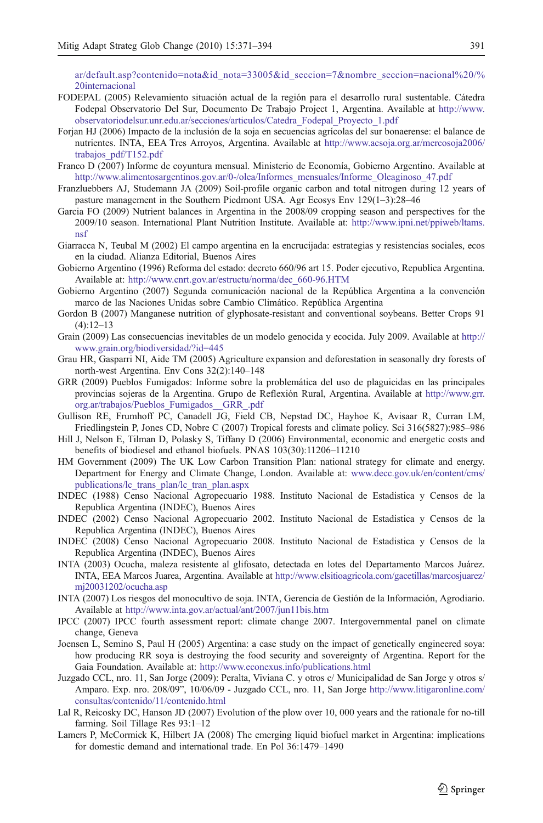<span id="page-20-0"></span>[ar/default.asp?contenido=nota&id\\_nota=33005&id\\_seccion=7&nombre\\_seccion=nacional%20/%](http://www.nuevarioja.com.ar/default.asp?contenido=nota&id_nota=33005&id_seccion=7&nombre_seccion=nacional%20/%20internacional) [20internacional](http://www.nuevarioja.com.ar/default.asp?contenido=nota&id_nota=33005&id_seccion=7&nombre_seccion=nacional%20/%20internacional)

- FODEPAL (2005) Relevamiento situación actual de la región para el desarrollo rural sustentable. Cátedra Fodepal Observatorio Del Sur, Documento De Trabajo Project 1, Argentina. Available at [http://www.](http://www.observatoriodelsur.unr.edu.ar/secciones/articulos/Catedra_Fodepal_Proyecto_1.pdf) [observatoriodelsur.unr.edu.ar/secciones/articulos/Catedra\\_Fodepal\\_Proyecto\\_1.pdf](http://www.observatoriodelsur.unr.edu.ar/secciones/articulos/Catedra_Fodepal_Proyecto_1.pdf)
- Forjan HJ (2006) Impacto de la inclusión de la soja en secuencias agrícolas del sur bonaerense: el balance de nutrientes. INTA, EEA Tres Arroyos, Argentina. Available at [http://www.acsoja.org.ar/mercosoja2006/](http://www.acsoja.org.ar/mercosoja2006/trabajos_pdf/T152.pdf) [trabajos\\_pdf/T152.pdf](http://www.acsoja.org.ar/mercosoja2006/trabajos_pdf/T152.pdf)
- Franco D (2007) Informe de coyuntura mensual. Ministerio de Economía, Gobierno Argentino. Available at [http://www.alimentosargentinos.gov.ar/0-/olea/Informes\\_mensuales/Informe\\_Oleaginoso\\_47.pdf](http://www.alimentosargentinos.gov.ar/0-/olea/Informes_mensuales/Informe_Oleaginoso_47.pdf)
- Franzluebbers AJ, Studemann JA (2009) Soil-profile organic carbon and total nitrogen during 12 years of pasture management in the Southern Piedmont USA. Agr Ecosys Env 129(1–3):28–46
- Garcia FO (2009) Nutrient balances in Argentina in the 2008/09 cropping season and perspectives for the 2009/10 season. International Plant Nutrition Institute. Available at: [http://www.ipni.net/ppiweb/ltams.](http://www.ipni.net/ppiweb/ltams.nsf) [nsf](http://www.ipni.net/ppiweb/ltams.nsf)
- Giarracca N, Teubal M (2002) El campo argentina en la encrucijada: estrategias y resistencias sociales, ecos en la ciudad. Alianza Editorial, Buenos Aires
- Gobierno Argentino (1996) Reforma del estado: decreto 660/96 art 15. Poder ejecutivo, Republica Argentina. Available at: [http://www.cnrt.gov.ar/estructu/norma/dec\\_660-96.HTM](http://www.cnrt.gov.ar/estructu/norma/dec_660-96.HTM)
- Gobierno Argentino (2007) Segunda comunicación nacional de la República Argentina a la convención marco de las Naciones Unidas sobre Cambio Climático. República Argentina
- Gordon B (2007) Manganese nutrition of glyphosate-resistant and conventional soybeans. Better Crops 91  $(4):12-13$
- Grain (2009) Las consecuencias inevitables de un modelo genocida y ecocida. July 2009. Available at [http://](http://www.grain.org/biodiversidad/?id=445) [www.grain.org/biodiversidad/?id=445](http://www.grain.org/biodiversidad/?id=445)
- Grau HR, Gasparri NI, Aide TM (2005) Agriculture expansion and deforestation in seasonally dry forests of north-west Argentina. Env Cons 32(2):140–148
- GRR (2009) Pueblos Fumigados: Informe sobre la problemática del uso de plaguicidas en las principales provincias sojeras de la Argentina. Grupo de Reflexión Rural, Argentina. Available at [http://www.grr.](http://www.grr.org.ar/trabajos/Pueblos_Fumigados__GRR_.pdf) [org.ar/trabajos/Pueblos\\_Fumigados\\_\\_GRR\\_.pdf](http://www.grr.org.ar/trabajos/Pueblos_Fumigados__GRR_.pdf)
- Gullison RE, Frumhoff PC, Canadell JG, Field CB, Nepstad DC, Hayhoe K, Avisaar R, Curran LM, Friedlingstein P, Jones CD, Nobre C (2007) Tropical forests and climate policy. Sci 316(5827):985–986
- Hill J, Nelson E, Tilman D, Polasky S, Tiffany D (2006) Environmental, economic and energetic costs and benefits of biodiesel and ethanol biofuels. PNAS 103(30):11206–11210
- HM Government (2009) The UK Low Carbon Transition Plan: national strategy for climate and energy. Department for Energy and Climate Change, London. Available at: [www.decc.gov.uk/en/content/cms/](http://www.decc.gov.uk/en/content/cms/publications/lc_trans_plan/lc_tran_plan.aspx) [publications/lc\\_trans\\_plan/lc\\_tran\\_plan.aspx](http://www.decc.gov.uk/en/content/cms/publications/lc_trans_plan/lc_tran_plan.aspx)
- INDEC (1988) Censo Nacional Agropecuario 1988. Instituto Nacional de Estadistica y Censos de la Republica Argentina (INDEC), Buenos Aires
- INDEC (2002) Censo Nacional Agropecuario 2002. Instituto Nacional de Estadistica y Censos de la Republica Argentina (INDEC), Buenos Aires
- INDEC (2008) Censo Nacional Agropecuario 2008. Instituto Nacional de Estadistica y Censos de la Republica Argentina (INDEC), Buenos Aires
- INTA (2003) Ocucha, maleza resistente al glifosato, detectada en lotes del Departamento Marcos Juárez. INTA, EEA Marcos Juarea, Argentina. Available at [http://www.elsitioagricola.com/gacetillas/marcosjuarez/](http://www.elsitioagricola.com/gacetillas/marcosjuarez/mj20031202/ocucha.asp) [mj20031202/ocucha.asp](http://www.elsitioagricola.com/gacetillas/marcosjuarez/mj20031202/ocucha.asp)
- INTA (2007) Los riesgos del monocultivo de soja. INTA, Gerencia de Gestión de la Información, Agrodiario. Available at <http://www.inta.gov.ar/actual/ant/2007/jun11bis.htm>
- IPCC (2007) IPCC fourth assessment report: climate change 2007. Intergovernmental panel on climate change, Geneva
- Joensen L, Semino S, Paul H (2005) Argentina: a case study on the impact of genetically engineered soya: how producing RR soya is destroying the food security and sovereignty of Argentina. Report for the Gaia Foundation. Available at: <http://www.econexus.info/publications.html>
- Juzgado CCL, nro. 11, San Jorge (2009): Peralta, Viviana C. y otros c/ Municipalidad de San Jorge y otros s/ Amparo. Exp. nro. 208/09", 10/06/09 - Juzgado CCL, nro. 11, San Jorge [http://www.litigaronline.com/](http://www.litigaronline.com/consultas/contenido/11/contenido.html) [consultas/contenido/11/contenido.html](http://www.litigaronline.com/consultas/contenido/11/contenido.html)
- Lal R, Reicosky DC, Hanson JD (2007) Evolution of the plow over 10, 000 years and the rationale for no-till farming. Soil Tillage Res 93:1–12
- Lamers P, McCormick K, Hilbert JA (2008) The emerging liquid biofuel market in Argentina: implications for domestic demand and international trade. En Pol 36:1479–1490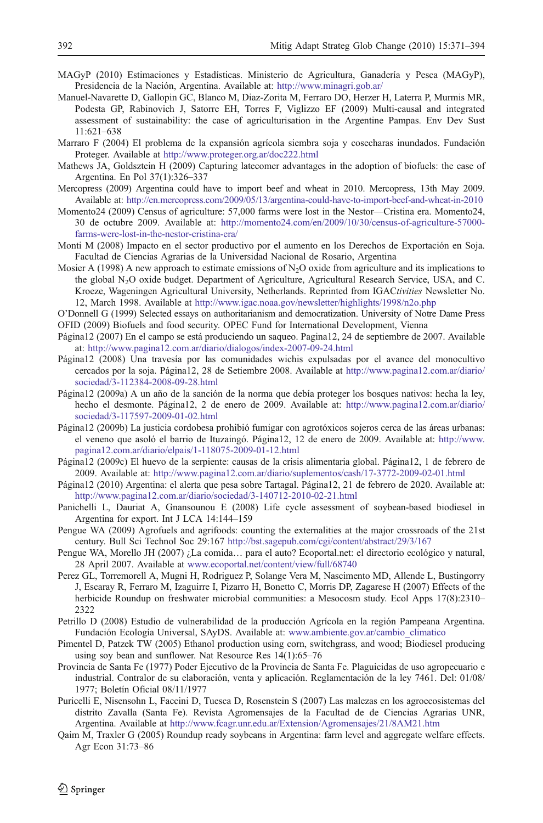- <span id="page-21-0"></span>MAGyP (2010) Estimaciones y Estadísticas. Ministerio de Agricultura, Ganadería y Pesca (MAGyP), Presidencia de la Nación, Argentina. Available at: <http://www.minagri.gob.ar/>
- Manuel-Navarette D, Gallopin GC, Blanco M, Diaz-Zorita M, Ferraro DO, Herzer H, Laterra P, Murmis MR, Podesta GP, Rabinovich J, Satorre EH, Torres F, Viglizzo EF (2009) Multi-causal and integrated assessment of sustainability: the case of agriculturisation in the Argentine Pampas. Env Dev Sust 11:621–638
- Marraro F (2004) El problema de la expansión agrícola siembra soja y cosecharas inundados. Fundación Proteger. Available at <http://www.proteger.org.ar/doc222.html>
- Mathews JA, Goldsztein H (2009) Capturing latecomer advantages in the adoption of biofuels: the case of Argentina. En Pol 37(1):326–337
- Mercopress (2009) Argentina could have to import beef and wheat in 2010. Mercopress, 13th May 2009. Available at: <http://en.mercopress.com/2009/05/13/argentina-could-have-to-import-beef-and-wheat-in-2010>
- Momento24 (2009) Census of agriculture: 57,000 farms were lost in the Nestor—Cristina era. Momento24, 30 de octubre 2009. Available at: [http://momento24.com/en/2009/10/30/census-of-agriculture-57000](http://momento24.com/en/2009/10/30/census-of-agriculture-57000-farms-were-lost-in-the-nestor-cristina-era/) [farms-were-lost-in-the-nestor-cristina-era/](http://momento24.com/en/2009/10/30/census-of-agriculture-57000-farms-were-lost-in-the-nestor-cristina-era/)
- Monti M (2008) Impacto en el sector productivo por el aumento en los Derechos de Exportación en Soja. Facultad de Ciencias Agrarias de la Universidad Nacional de Rosario, Argentina
- Mosier A (1998) A new approach to estimate emissions of  $N_2O$  oxide from agriculture and its implications to the global N2O oxide budget. Department of Agriculture, Agricultural Research Service, USA, and C. Kroeze, Wageningen Agricultural University, Netherlands. Reprinted from IGACtivities Newsletter No. 12, March 1998. Available at <http://www.igac.noaa.gov/newsletter/highlights/1998/n2o.php>
- O'Donnell G (1999) Selected essays on authoritarianism and democratization. University of Notre Dame Press OFID (2009) Biofuels and food security. OPEC Fund for International Development, Vienna
- Página12 (2007) En el campo se está produciendo un saqueo. Pagina12, 24 de septiembre de 2007. Available at: <http://www.pagina12.com.ar/diario/dialogos/index-2007-09-24.html>
- Página12 (2008) Una travesía por las comunidades wichis expulsadas por el avance del monocultivo cercados por la soja. Página12, 28 de Setiembre 2008. Available at [http://www.pagina12.com.ar/diario/](http://www.pagina12.com.ar/diario/sociedad/3-112384-2008-09-28.html) [sociedad/3-112384-2008-09-28.html](http://www.pagina12.com.ar/diario/sociedad/3-112384-2008-09-28.html)
- Página12 (2009a) A un año de la sanción de la norma que debía proteger los bosques nativos: hecha la ley, hecho el desmonte. Página12, 2 de enero de 2009. Available at: [http://www.pagina12.com.ar/diario/](http://www.pagina12.com.ar/diario/sociedad/3-117597-2009-01-02.html) [sociedad/3-117597-2009-01-02.html](http://www.pagina12.com.ar/diario/sociedad/3-117597-2009-01-02.html)
- Página12 (2009b) La justicia cordobesa prohibió fumigar con agrotóxicos sojeros cerca de las áreas urbanas: el veneno que asoló el barrio de Ituzaingó. Página12, 12 de enero de 2009. Available at: [http://www.](http://www.pagina12.com.ar/diario/elpais/1-118075-2009-01-12.html) [pagina12.com.ar/diario/elpais/1-118075-2009-01-12.html](http://www.pagina12.com.ar/diario/elpais/1-118075-2009-01-12.html)
- Página12 (2009c) El huevo de la serpiente: causas de la crisis alimentaria global. Página12, 1 de febrero de 2009. Available at: <http://www.pagina12.com.ar/diario/suplementos/cash/17-3772-2009-02-01.html>
- Página12 (2010) Argentina: el alerta que pesa sobre Tartagal. Página12, 21 de febrero de 2020. Available at: <http://www.pagina12.com.ar/diario/sociedad/3-140712-2010-02-21.html>
- Panichelli L, Dauriat A, Gnansounou E (2008) Life cycle assessment of soybean-based biodiesel in Argentina for export. Int J LCA 14:144–159
- Pengue WA (2009) Agrofuels and agrifoods: counting the externalities at the major crossroads of the 21st century. Bull Sci Technol Soc 29:167 <http://bst.sagepub.com/cgi/content/abstract/29/3/167>
- Pengue WA, Morello JH (2007) ¿La comida… para el auto? Ecoportal.net: el directorio ecológico y natural, 28 April 2007. Available at [www.ecoportal.net/content/view/full/68740](http://www.ecoportal.net/content/view/full/68740)
- Perez GL, Torremorell A, Mugni H, Rodriguez P, Solange Vera M, Nascimento MD, Allende L, Bustingorry J, Escaray R, Ferraro M, Izaguirre I, Pizarro H, Bonetto C, Morris DP, Zagarese H (2007) Effects of the herbicide Roundup on freshwater microbial communities: a Mesocosm study. Ecol Apps 17(8):2310– 2322
- Petrillo D (2008) Estudio de vulnerabilidad de la producción Agrícola en la región Pampeana Argentina. Fundación Ecología Universal, SAyDS. Available at: [www.ambiente.gov.ar/cambio\\_climatico](http://www.ambiente.gov.ar/cambio_climatico)
- Pimentel D, Patzek TW (2005) Ethanol production using corn, switchgrass, and wood; Biodiesel producing using soy bean and sunflower. Nat Resource Res 14(1):65–76
- Provincia de Santa Fe (1977) Poder Ejecutivo de la Provincia de Santa Fe. Plaguicidas de uso agropecuario e industrial. Contralor de su elaboración, venta y aplicación. Reglamentación de la ley 7461. Del: 01/08/ 1977; Boletín Oficial 08/11/1977
- Puricelli E, Nisensohn L, Faccini D, Tuesca D, Rosenstein S (2007) Las malezas en los agroecosistemas del distrito Zavalla (Santa Fe). Revista Agromensajes de la Facultad de de Ciencias Agrarias UNR, Argentina. Available at <http://www.fcagr.unr.edu.ar/Extension/Agromensajes/21/8AM21.htm>
- Qaim M, Traxler G (2005) Roundup ready soybeans in Argentina: farm level and aggregate welfare effects. Agr Econ 31:73–86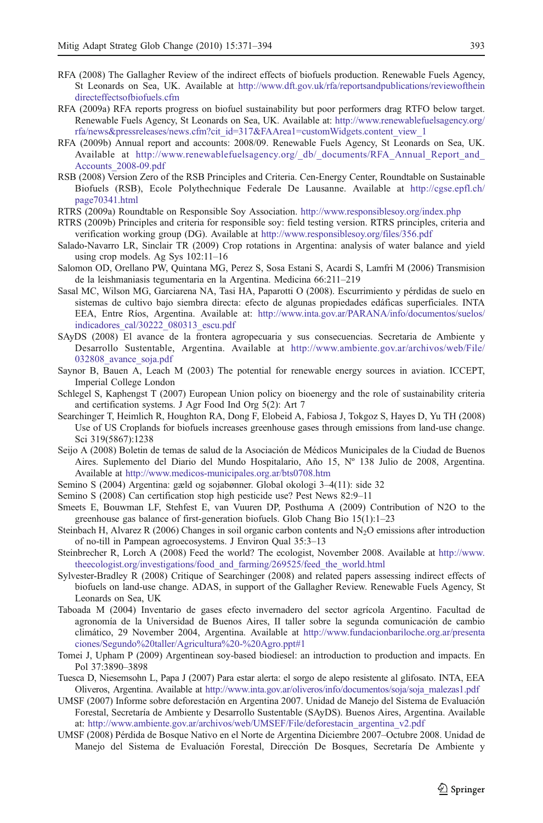- <span id="page-22-0"></span>RFA (2008) The Gallagher Review of the indirect effects of biofuels production. Renewable Fuels Agency, St Leonards on Sea, UK. Available at [http://www.dft.gov.uk/rfa/reportsandpublications/reviewofthein](http://www.dft.gov.uk/rfa/reportsandpublications/reviewoftheindirecteffectsofbiofuels.cfm) [directeffectsofbiofuels.cfm](http://www.dft.gov.uk/rfa/reportsandpublications/reviewoftheindirecteffectsofbiofuels.cfm)
- RFA (2009a) RFA reports progress on biofuel sustainability but poor performers drag RTFO below target. Renewable Fuels Agency, St Leonards on Sea, UK. Available at: [http://www.renewablefuelsagency.org/](http://www.renewablefuelsagency.org/rfa/news&pressreleases/news.cfm?cit_id=317&FAArea1=customWidgets.content_view_1) [rfa/news&pressreleases/news.cfm?cit\\_id=317&FAArea1=customWidgets.content\\_view\\_1](http://www.renewablefuelsagency.org/rfa/news&pressreleases/news.cfm?cit_id=317&FAArea1=customWidgets.content_view_1)
- RFA (2009b) Annual report and accounts: 2008/09. Renewable Fuels Agency, St Leonards on Sea, UK. Available at http://www.renewablefuelsagency.org/\_db/\_documents/RFA\_Annual\_Report\_and [Accounts\\_2008-09.pdf](http://www.renewablefuelsagency.org/_db/_documents/RFA_Annual_Report_and_Accounts_2008-09.pdf)
- RSB (2008) Version Zero of the RSB Principles and Criteria. Cen-Energy Center, Roundtable on Sustainable Biofuels (RSB), Ecole Polythechnique Federale De Lausanne. Available at [http://cgse.epfl.ch/](http://cgse.epfl.ch/page70341.html) [page70341.html](http://cgse.epfl.ch/page70341.html)
- RTRS (2009a) Roundtable on Responsible Soy Association. <http://www.responsiblesoy.org/index.php>
- RTRS (2009b) Principles and criteria for responsible soy: field testing version. RTRS principles, criteria and verification working group (DG). Available at <http://www.responsiblesoy.org/files/356.pdf>
- Salado-Navarro LR, Sinclair TR (2009) Crop rotations in Argentina: analysis of water balance and yield using crop models. Ag Sys 102:11–16
- Salomon OD, Orellano PW, Quintana MG, Perez S, Sosa Estani S, Acardi S, Lamfri M (2006) Transmision de la leishmaniasis tegumentaria en la Argentina. Medicina 66:211–219
- Sasal MC, Wilson MG, Garciarena NA, Tasi HA, Paparotti O (2008). Escurrimiento y pérdidas de suelo en sistemas de cultivo bajo siembra directa: efecto de algunas propiedades edáficas superficiales. INTA EEA, Entre Ríos, Argentina. Available at: [http://www.inta.gov.ar/PARANA/info/documentos/suelos/](http://www.inta.gov.ar/PARANA/info/documentos/suelos/indicadores_cal/30222_080313_escu.pdf) [indicadores\\_cal/30222\\_080313\\_escu.pdf](http://www.inta.gov.ar/PARANA/info/documentos/suelos/indicadores_cal/30222_080313_escu.pdf)
- SAyDS (2008) El avance de la frontera agropecuaria y sus consecuencias. Secretaria de Ambiente y Desarrollo Sustentable, Argentina. Available at [http://www.ambiente.gov.ar/archivos/web/File/](http://www.ambiente.gov.ar/archivos/web/File/032808_avance_soja.pdf) [032808\\_avance\\_soja.pdf](http://www.ambiente.gov.ar/archivos/web/File/032808_avance_soja.pdf)
- Saynor B, Bauen A, Leach M (2003) The potential for renewable energy sources in aviation. ICCEPT, Imperial College London
- Schlegel S, Kaphengst T (2007) European Union policy on bioenergy and the role of sustainability criteria and certification systems. J Agr Food Ind Org 5(2): Art 7
- Searchinger T, Heimlich R, Houghton RA, Dong F, Elobeid A, Fabiosa J, Tokgoz S, Hayes D, Yu TH (2008) Use of US Croplands for biofuels increases greenhouse gases through emissions from land-use change. Sci 319(5867):1238
- Seijo A (2008) Boletin de temas de salud de la Asociación de Médicos Municipales de la Ciudad de Buenos Aires. Suplemento del Diario del Mundo Hospitalario, Año 15, Nº 138 Julio de 2008, Argentina. Available at <http://www.medicos-municipales.org.ar/bts0708.htm>
- Semino S (2004) Argentina: gæld og sojabønner. Global okologi 3–4(11): side 32
- Semino S (2008) Can certification stop high pesticide use? Pest News 82:9–11
- Smeets E, Bouwman LF, Stehfest E, van Vuuren DP, Posthuma A (2009) Contribution of N2O to the greenhouse gas balance of first-generation biofuels. Glob Chang Bio 15(1):1–23
- Steinbach H, Alvarez R (2006) Changes in soil organic carbon contents and N<sub>2</sub>O emissions after introduction of no-till in Pampean agroecosystems. J Environ Qual 35:3–13
- Steinbrecher R, Lorch A (2008) Feed the world? The ecologist, November 2008. Available at [http://www.](http://www.theecologist.org/investigations/food_and_farming/269525/feed_the_world.html) [theecologist.org/investigations/food\\_and\\_farming/269525/feed\\_the\\_world.html](http://www.theecologist.org/investigations/food_and_farming/269525/feed_the_world.html)
- Sylvester-Bradley R (2008) Critique of Searchinger (2008) and related papers assessing indirect effects of biofuels on land-use change. ADAS, in support of the Gallagher Review. Renewable Fuels Agency, St Leonards on Sea, UK
- Taboada M (2004) Inventario de gases efecto invernadero del sector agrícola Argentino. Facultad de agronomía de la Universidad de Buenos Aires, II taller sobre la segunda comunicación de cambio climático, 29 November 2004, Argentina. Available at [http://www.fundacionbariloche.org.ar/presenta](http://www.fundacionbariloche.org.ar/presentaciones/Segundo%20taller/Agricultura%20-%20Agro.ppt#1) [ciones/Segundo%20taller/Agricultura%20-%20Agro.ppt#1](http://www.fundacionbariloche.org.ar/presentaciones/Segundo%20taller/Agricultura%20-%20Agro.ppt#1)
- Tomei J, Upham P (2009) Argentinean soy-based biodiesel: an introduction to production and impacts. En Pol 37:3890–3898
- Tuesca D, Niesemsohn L, Papa J (2007) Para estar alerta: el sorgo de alepo resistente al glifosato. INTA, EEA Oliveros, Argentina. Available at [http://www.inta.gov.ar/oliveros/info/documentos/soja/soja\\_malezas1.pdf](http://www.inta.gov.ar/oliveros/info/documentos/soja/soja_malezas1.pdf)
- UMSF (2007) Informe sobre deforestación en Argentina 2007. Unidad de Manejo del Sistema de Evaluación Forestal, Secretaría de Ambiente y Desarrollo Sustentable (SAyDS). Buenos Aires, Argentina. Available at: [http://www.ambiente.gov.ar/archivos/web/UMSEF/File/deforestacin\\_argentina\\_v2.pdf](http://www.ambiente.gov.ar/archivos/web/UMSEF/File/deforestacin_argentina_v2.pdf)
- UMSF (2008) Pérdida de Bosque Nativo en el Norte de Argentina Diciembre 2007–Octubre 2008. Unidad de Manejo del Sistema de Evaluación Forestal, Dirección De Bosques, Secretaría De Ambiente y